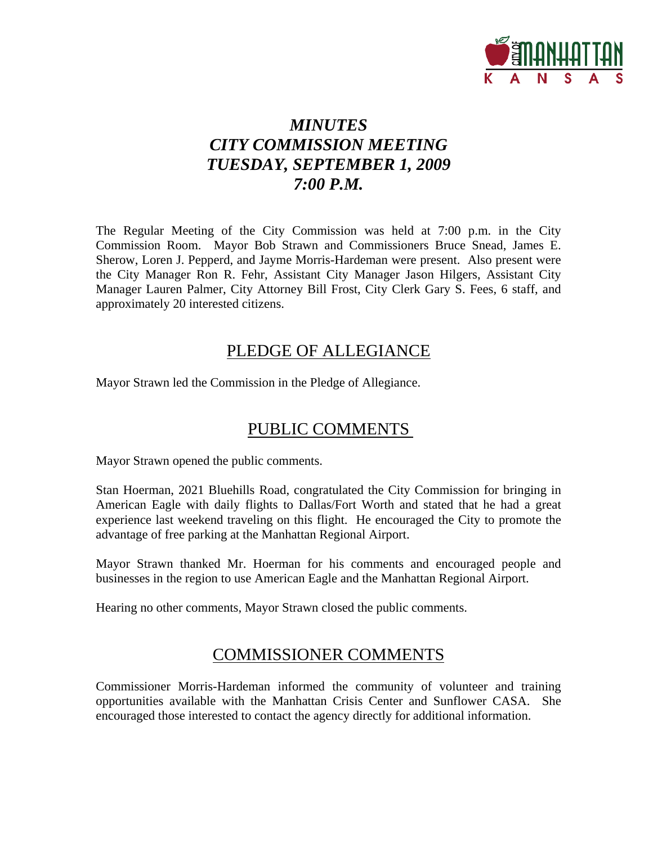

# *MINUTES CITY COMMISSION MEETING TUESDAY, SEPTEMBER 1, 2009 7:00 P.M.*

The Regular Meeting of the City Commission was held at 7:00 p.m. in the City Commission Room. Mayor Bob Strawn and Commissioners Bruce Snead, James E. Sherow, Loren J. Pepperd, and Jayme Morris-Hardeman were present. Also present were the City Manager Ron R. Fehr, Assistant City Manager Jason Hilgers, Assistant City Manager Lauren Palmer, City Attorney Bill Frost, City Clerk Gary S. Fees, 6 staff, and approximately 20 interested citizens.

# PLEDGE OF ALLEGIANCE

Mayor Strawn led the Commission in the Pledge of Allegiance.

# PUBLIC COMMENTS

Mayor Strawn opened the public comments.

Stan Hoerman, 2021 Bluehills Road, congratulated the City Commission for bringing in American Eagle with daily flights to Dallas/Fort Worth and stated that he had a great experience last weekend traveling on this flight. He encouraged the City to promote the advantage of free parking at the Manhattan Regional Airport.

Mayor Strawn thanked Mr. Hoerman for his comments and encouraged people and businesses in the region to use American Eagle and the Manhattan Regional Airport.

Hearing no other comments, Mayor Strawn closed the public comments.

# COMMISSIONER COMMENTS

Commissioner Morris-Hardeman informed the community of volunteer and training opportunities available with the Manhattan Crisis Center and Sunflower CASA. She encouraged those interested to contact the agency directly for additional information.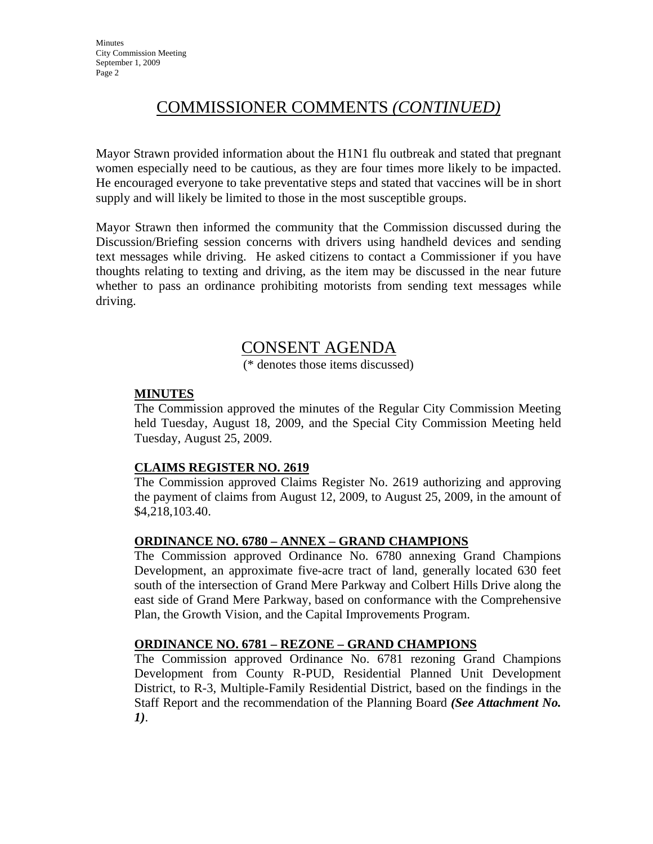# COMMISSIONER COMMENTS *(CONTINUED)*

Mayor Strawn provided information about the H1N1 flu outbreak and stated that pregnant women especially need to be cautious, as they are four times more likely to be impacted. He encouraged everyone to take preventative steps and stated that vaccines will be in short supply and will likely be limited to those in the most susceptible groups.

Mayor Strawn then informed the community that the Commission discussed during the Discussion/Briefing session concerns with drivers using handheld devices and sending text messages while driving. He asked citizens to contact a Commissioner if you have thoughts relating to texting and driving, as the item may be discussed in the near future whether to pass an ordinance prohibiting motorists from sending text messages while driving.

# CONSENT AGENDA

(\* denotes those items discussed)

#### **MINUTES**

The Commission approved the minutes of the Regular City Commission Meeting held Tuesday, August 18, 2009, and the Special City Commission Meeting held Tuesday, August 25, 2009.

#### **CLAIMS REGISTER NO. 2619**

The Commission approved Claims Register No. 2619 authorizing and approving the payment of claims from August 12, 2009, to August 25, 2009, in the amount of \$4,218,103.40.

#### **ORDINANCE NO. 6780 – ANNEX – GRAND CHAMPIONS**

The Commission approved Ordinance No. 6780 annexing Grand Champions Development, an approximate five-acre tract of land, generally located 630 feet south of the intersection of Grand Mere Parkway and Colbert Hills Drive along the east side of Grand Mere Parkway, based on conformance with the Comprehensive Plan, the Growth Vision, and the Capital Improvements Program.

#### **ORDINANCE NO. 6781 – REZONE – GRAND CHAMPIONS**

The Commission approved Ordinance No. 6781 rezoning Grand Champions Development from County R-PUD, Residential Planned Unit Development District, to R-3, Multiple-Family Residential District, based on the findings in the Staff Report and the recommendation of the Planning Board *(See Attachment No. 1)*.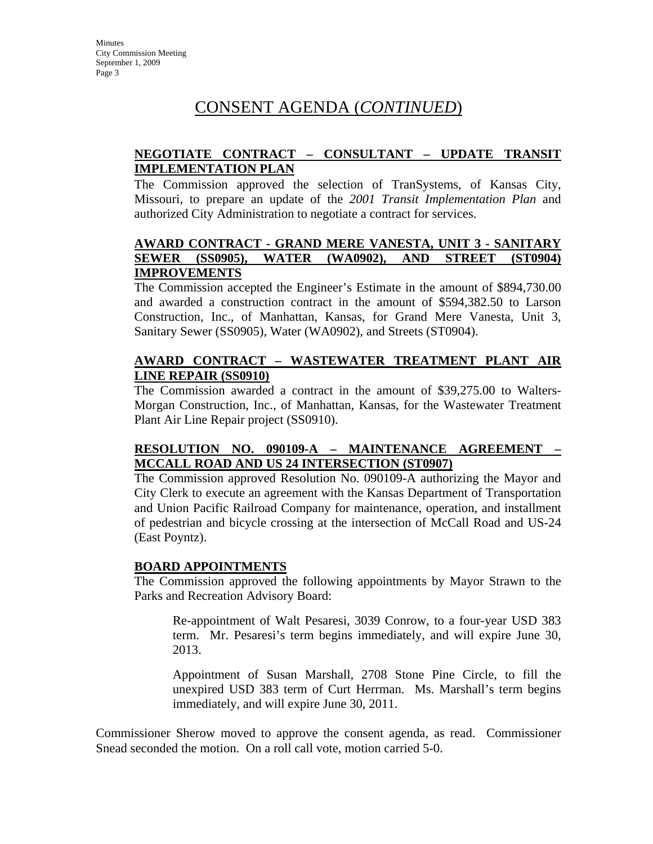# CONSENT AGENDA (*CONTINUED*)

### **NEGOTIATE CONTRACT – CONSULTANT – UPDATE TRANSIT IMPLEMENTATION PLAN**

The Commission approved the selection of TranSystems, of Kansas City, Missouri, to prepare an update of the *2001 Transit Implementation Plan* and authorized City Administration to negotiate a contract for services.

#### **AWARD CONTRACT - GRAND MERE VANESTA, UNIT 3 - SANITARY SEWER (SS0905), WATER (WA0902), AND STREET (ST0904) IMPROVEMENTS**

The Commission accepted the Engineer's Estimate in the amount of \$894,730.00 and awarded a construction contract in the amount of \$594,382.50 to Larson Construction, Inc., of Manhattan, Kansas, for Grand Mere Vanesta, Unit 3, Sanitary Sewer (SS0905), Water (WA0902), and Streets (ST0904).

### **AWARD CONTRACT – WASTEWATER TREATMENT PLANT AIR LINE REPAIR (SS0910)**

The Commission awarded a contract in the amount of \$39,275.00 to Walters-Morgan Construction, Inc., of Manhattan, Kansas, for the Wastewater Treatment Plant Air Line Repair project (SS0910).

#### **RESOLUTION NO. 090109-A – MAINTENANCE AGREEMENT – MCCALL ROAD AND US 24 INTERSECTION (ST0907)**

The Commission approved Resolution No. 090109-A authorizing the Mayor and City Clerk to execute an agreement with the Kansas Department of Transportation and Union Pacific Railroad Company for maintenance, operation, and installment of pedestrian and bicycle crossing at the intersection of McCall Road and US-24 (East Poyntz).

#### **BOARD APPOINTMENTS**

The Commission approved the following appointments by Mayor Strawn to the Parks and Recreation Advisory Board:

Re-appointment of Walt Pesaresi, 3039 Conrow, to a four-year USD 383 term. Mr. Pesaresi's term begins immediately, and will expire June 30, 2013.

Appointment of Susan Marshall, 2708 Stone Pine Circle, to fill the unexpired USD 383 term of Curt Herrman. Ms. Marshall's term begins immediately, and will expire June 30, 2011.

Commissioner Sherow moved to approve the consent agenda, as read. Commissioner Snead seconded the motion. On a roll call vote, motion carried 5-0.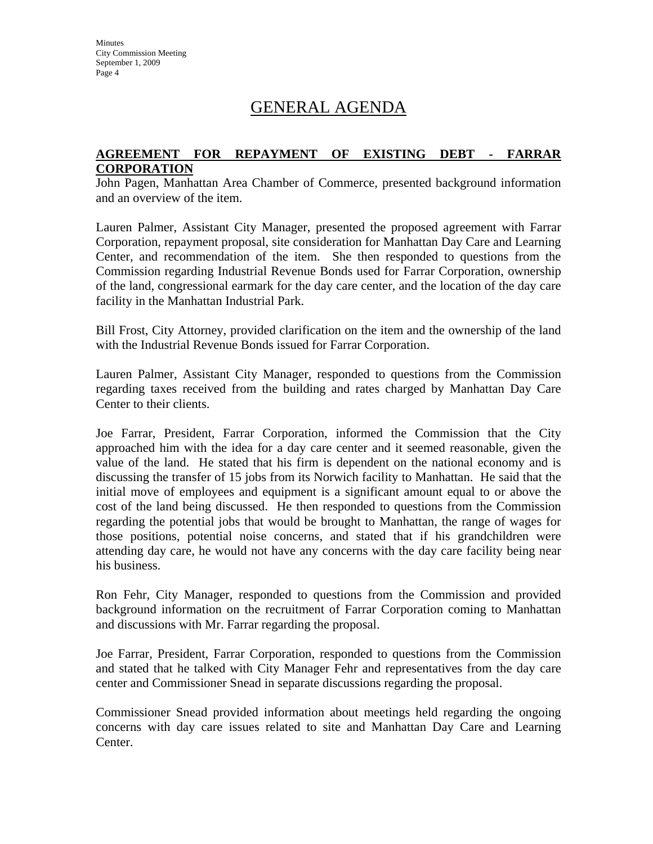# GENERAL AGENDA

#### **AGREEMENT FOR REPAYMENT OF EXISTING DEBT - FARRAR CORPORATION**

John Pagen, Manhattan Area Chamber of Commerce, presented background information and an overview of the item.

Lauren Palmer, Assistant City Manager, presented the proposed agreement with Farrar Corporation, repayment proposal, site consideration for Manhattan Day Care and Learning Center, and recommendation of the item. She then responded to questions from the Commission regarding Industrial Revenue Bonds used for Farrar Corporation, ownership of the land, congressional earmark for the day care center, and the location of the day care facility in the Manhattan Industrial Park.

Bill Frost, City Attorney, provided clarification on the item and the ownership of the land with the Industrial Revenue Bonds issued for Farrar Corporation.

Lauren Palmer, Assistant City Manager, responded to questions from the Commission regarding taxes received from the building and rates charged by Manhattan Day Care Center to their clients.

Joe Farrar, President, Farrar Corporation, informed the Commission that the City approached him with the idea for a day care center and it seemed reasonable, given the value of the land. He stated that his firm is dependent on the national economy and is discussing the transfer of 15 jobs from its Norwich facility to Manhattan. He said that the initial move of employees and equipment is a significant amount equal to or above the cost of the land being discussed. He then responded to questions from the Commission regarding the potential jobs that would be brought to Manhattan, the range of wages for those positions, potential noise concerns, and stated that if his grandchildren were attending day care, he would not have any concerns with the day care facility being near his business.

Ron Fehr, City Manager, responded to questions from the Commission and provided background information on the recruitment of Farrar Corporation coming to Manhattan and discussions with Mr. Farrar regarding the proposal.

Joe Farrar, President, Farrar Corporation, responded to questions from the Commission and stated that he talked with City Manager Fehr and representatives from the day care center and Commissioner Snead in separate discussions regarding the proposal.

Commissioner Snead provided information about meetings held regarding the ongoing concerns with day care issues related to site and Manhattan Day Care and Learning Center.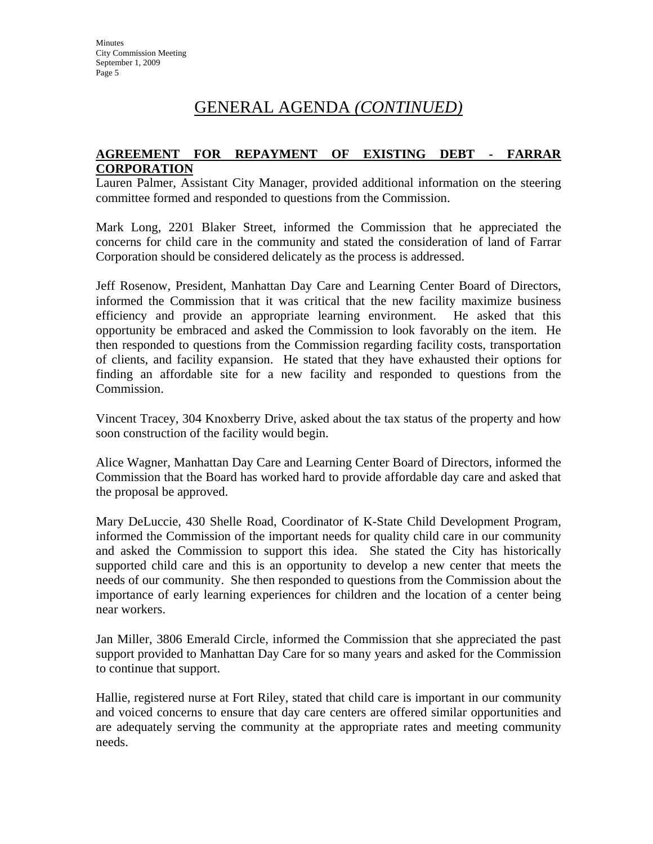#### **AGREEMENT FOR REPAYMENT OF EXISTING DEBT - FARRAR CORPORATION**

Lauren Palmer, Assistant City Manager, provided additional information on the steering committee formed and responded to questions from the Commission.

Mark Long, 2201 Blaker Street, informed the Commission that he appreciated the concerns for child care in the community and stated the consideration of land of Farrar Corporation should be considered delicately as the process is addressed.

Jeff Rosenow, President, Manhattan Day Care and Learning Center Board of Directors, informed the Commission that it was critical that the new facility maximize business efficiency and provide an appropriate learning environment. He asked that this opportunity be embraced and asked the Commission to look favorably on the item. He then responded to questions from the Commission regarding facility costs, transportation of clients, and facility expansion. He stated that they have exhausted their options for finding an affordable site for a new facility and responded to questions from the Commission.

Vincent Tracey, 304 Knoxberry Drive, asked about the tax status of the property and how soon construction of the facility would begin.

Alice Wagner, Manhattan Day Care and Learning Center Board of Directors, informed the Commission that the Board has worked hard to provide affordable day care and asked that the proposal be approved.

Mary DeLuccie, 430 Shelle Road, Coordinator of K-State Child Development Program, informed the Commission of the important needs for quality child care in our community and asked the Commission to support this idea. She stated the City has historically supported child care and this is an opportunity to develop a new center that meets the needs of our community. She then responded to questions from the Commission about the importance of early learning experiences for children and the location of a center being near workers.

Jan Miller, 3806 Emerald Circle, informed the Commission that she appreciated the past support provided to Manhattan Day Care for so many years and asked for the Commission to continue that support.

Hallie, registered nurse at Fort Riley, stated that child care is important in our community and voiced concerns to ensure that day care centers are offered similar opportunities and are adequately serving the community at the appropriate rates and meeting community needs.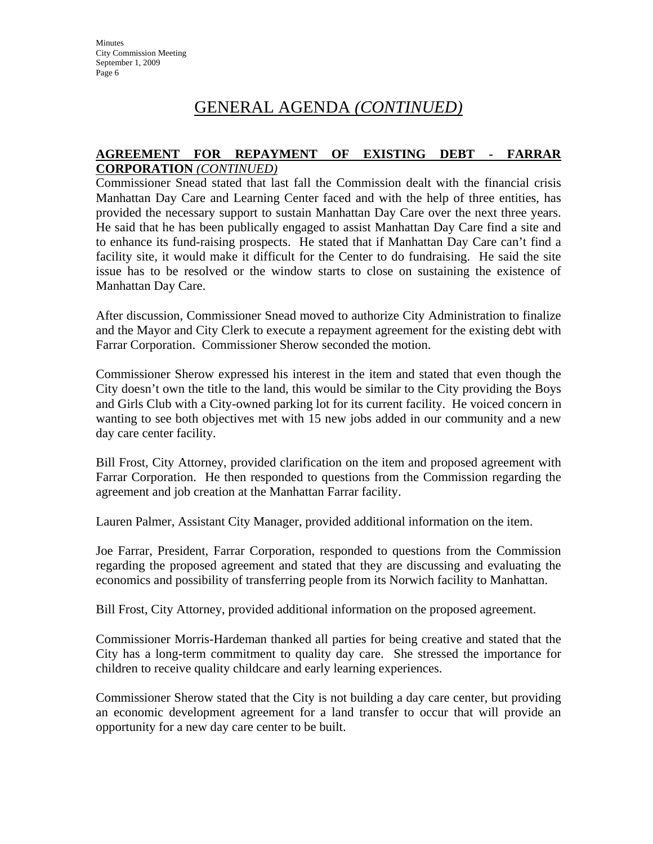#### **AGREEMENT FOR REPAYMENT OF EXISTING DEBT - FARRAR CORPORATION** *(CONTINUED)*

Commissioner Snead stated that last fall the Commission dealt with the financial crisis Manhattan Day Care and Learning Center faced and with the help of three entities, has provided the necessary support to sustain Manhattan Day Care over the next three years. He said that he has been publically engaged to assist Manhattan Day Care find a site and to enhance its fund-raising prospects. He stated that if Manhattan Day Care can't find a facility site, it would make it difficult for the Center to do fundraising. He said the site issue has to be resolved or the window starts to close on sustaining the existence of Manhattan Day Care.

After discussion, Commissioner Snead moved to authorize City Administration to finalize and the Mayor and City Clerk to execute a repayment agreement for the existing debt with Farrar Corporation. Commissioner Sherow seconded the motion.

Commissioner Sherow expressed his interest in the item and stated that even though the City doesn't own the title to the land, this would be similar to the City providing the Boys and Girls Club with a City-owned parking lot for its current facility. He voiced concern in wanting to see both objectives met with 15 new jobs added in our community and a new day care center facility.

Bill Frost, City Attorney, provided clarification on the item and proposed agreement with Farrar Corporation. He then responded to questions from the Commission regarding the agreement and job creation at the Manhattan Farrar facility.

Lauren Palmer, Assistant City Manager, provided additional information on the item.

Joe Farrar, President, Farrar Corporation, responded to questions from the Commission regarding the proposed agreement and stated that they are discussing and evaluating the economics and possibility of transferring people from its Norwich facility to Manhattan.

Bill Frost, City Attorney, provided additional information on the proposed agreement.

Commissioner Morris-Hardeman thanked all parties for being creative and stated that the City has a long-term commitment to quality day care. She stressed the importance for children to receive quality childcare and early learning experiences.

Commissioner Sherow stated that the City is not building a day care center, but providing an economic development agreement for a land transfer to occur that will provide an opportunity for a new day care center to be built.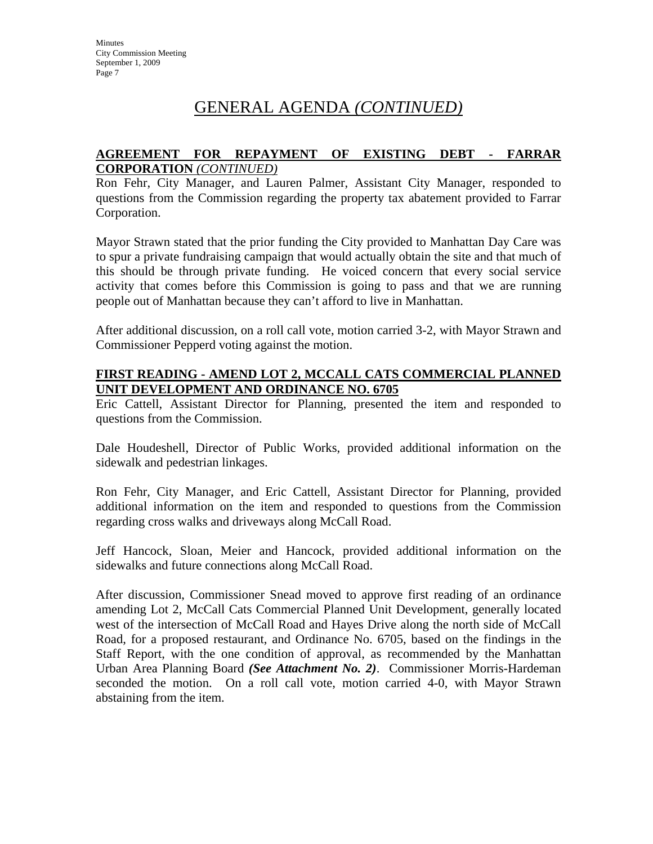#### **AGREEMENT FOR REPAYMENT OF EXISTING DEBT - FARRAR CORPORATION** *(CONTINUED)*

Ron Fehr, City Manager, and Lauren Palmer, Assistant City Manager, responded to questions from the Commission regarding the property tax abatement provided to Farrar Corporation.

Mayor Strawn stated that the prior funding the City provided to Manhattan Day Care was to spur a private fundraising campaign that would actually obtain the site and that much of this should be through private funding. He voiced concern that every social service activity that comes before this Commission is going to pass and that we are running people out of Manhattan because they can't afford to live in Manhattan.

After additional discussion, on a roll call vote, motion carried 3-2, with Mayor Strawn and Commissioner Pepperd voting against the motion.

#### **FIRST READING - AMEND LOT 2, MCCALL CATS COMMERCIAL PLANNED UNIT DEVELOPMENT AND ORDINANCE NO. 6705**

Eric Cattell, Assistant Director for Planning, presented the item and responded to questions from the Commission.

Dale Houdeshell, Director of Public Works, provided additional information on the sidewalk and pedestrian linkages.

Ron Fehr, City Manager, and Eric Cattell, Assistant Director for Planning, provided additional information on the item and responded to questions from the Commission regarding cross walks and driveways along McCall Road.

Jeff Hancock, Sloan, Meier and Hancock, provided additional information on the sidewalks and future connections along McCall Road.

After discussion, Commissioner Snead moved to approve first reading of an ordinance amending Lot 2, McCall Cats Commercial Planned Unit Development, generally located west of the intersection of McCall Road and Hayes Drive along the north side of McCall Road, for a proposed restaurant, and Ordinance No. 6705, based on the findings in the Staff Report, with the one condition of approval, as recommended by the Manhattan Urban Area Planning Board *(See Attachment No. 2)*. Commissioner Morris-Hardeman seconded the motion. On a roll call vote, motion carried 4-0, with Mayor Strawn abstaining from the item.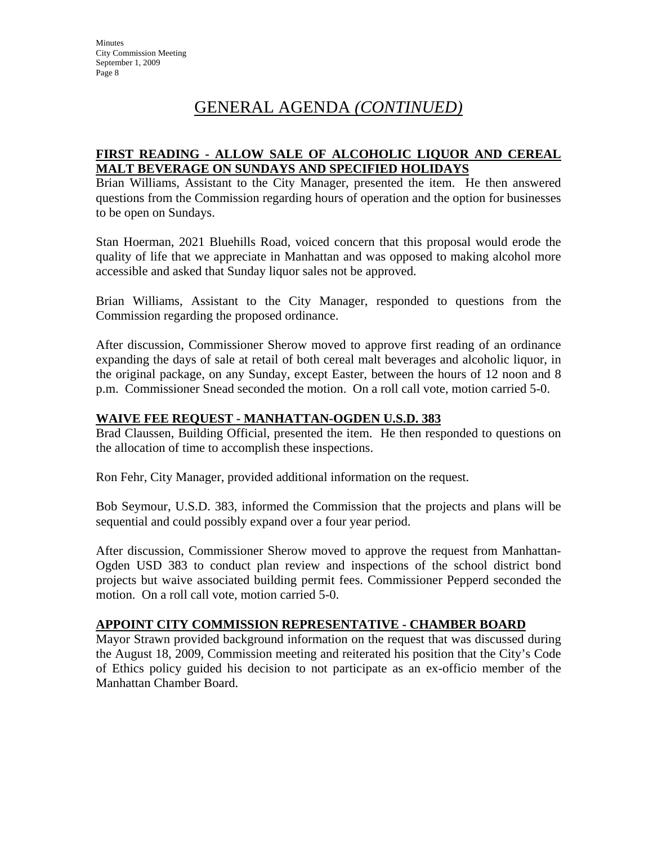### **FIRST READING - ALLOW SALE OF ALCOHOLIC LIQUOR AND CEREAL MALT BEVERAGE ON SUNDAYS AND SPECIFIED HOLIDAYS**

Brian Williams, Assistant to the City Manager, presented the item. He then answered questions from the Commission regarding hours of operation and the option for businesses to be open on Sundays.

Stan Hoerman, 2021 Bluehills Road, voiced concern that this proposal would erode the quality of life that we appreciate in Manhattan and was opposed to making alcohol more accessible and asked that Sunday liquor sales not be approved.

Brian Williams, Assistant to the City Manager, responded to questions from the Commission regarding the proposed ordinance.

After discussion, Commissioner Sherow moved to approve first reading of an ordinance expanding the days of sale at retail of both cereal malt beverages and alcoholic liquor, in the original package, on any Sunday, except Easter, between the hours of 12 noon and 8 p.m. Commissioner Snead seconded the motion. On a roll call vote, motion carried 5-0.

### **WAIVE FEE REQUEST - MANHATTAN-OGDEN U.S.D. 383**

Brad Claussen, Building Official, presented the item. He then responded to questions on the allocation of time to accomplish these inspections.

Ron Fehr, City Manager, provided additional information on the request.

Bob Seymour, U.S.D. 383, informed the Commission that the projects and plans will be sequential and could possibly expand over a four year period.

After discussion, Commissioner Sherow moved to approve the request from Manhattan-Ogden USD 383 to conduct plan review and inspections of the school district bond projects but waive associated building permit fees. Commissioner Pepperd seconded the motion. On a roll call vote, motion carried 5-0.

#### **APPOINT CITY COMMISSION REPRESENTATIVE - CHAMBER BOARD**

Mayor Strawn provided background information on the request that was discussed during the August 18, 2009, Commission meeting and reiterated his position that the City's Code of Ethics policy guided his decision to not participate as an ex-officio member of the Manhattan Chamber Board.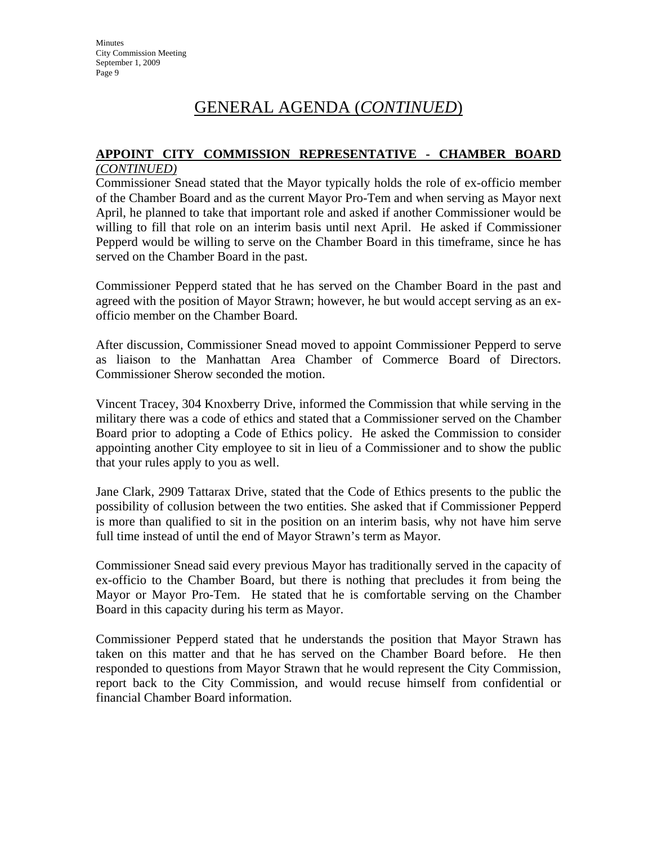#### **APPOINT CITY COMMISSION REPRESENTATIVE - CHAMBER BOARD** *(CONTINUED)*

Commissioner Snead stated that the Mayor typically holds the role of ex-officio member of the Chamber Board and as the current Mayor Pro-Tem and when serving as Mayor next April, he planned to take that important role and asked if another Commissioner would be willing to fill that role on an interim basis until next April. He asked if Commissioner Pepperd would be willing to serve on the Chamber Board in this timeframe, since he has served on the Chamber Board in the past.

Commissioner Pepperd stated that he has served on the Chamber Board in the past and agreed with the position of Mayor Strawn; however, he but would accept serving as an exofficio member on the Chamber Board.

After discussion, Commissioner Snead moved to appoint Commissioner Pepperd to serve as liaison to the Manhattan Area Chamber of Commerce Board of Directors. Commissioner Sherow seconded the motion.

Vincent Tracey, 304 Knoxberry Drive, informed the Commission that while serving in the military there was a code of ethics and stated that a Commissioner served on the Chamber Board prior to adopting a Code of Ethics policy. He asked the Commission to consider appointing another City employee to sit in lieu of a Commissioner and to show the public that your rules apply to you as well.

Jane Clark, 2909 Tattarax Drive, stated that the Code of Ethics presents to the public the possibility of collusion between the two entities. She asked that if Commissioner Pepperd is more than qualified to sit in the position on an interim basis, why not have him serve full time instead of until the end of Mayor Strawn's term as Mayor.

Commissioner Snead said every previous Mayor has traditionally served in the capacity of ex-officio to the Chamber Board, but there is nothing that precludes it from being the Mayor or Mayor Pro-Tem. He stated that he is comfortable serving on the Chamber Board in this capacity during his term as Mayor.

Commissioner Pepperd stated that he understands the position that Mayor Strawn has taken on this matter and that he has served on the Chamber Board before. He then responded to questions from Mayor Strawn that he would represent the City Commission, report back to the City Commission, and would recuse himself from confidential or financial Chamber Board information.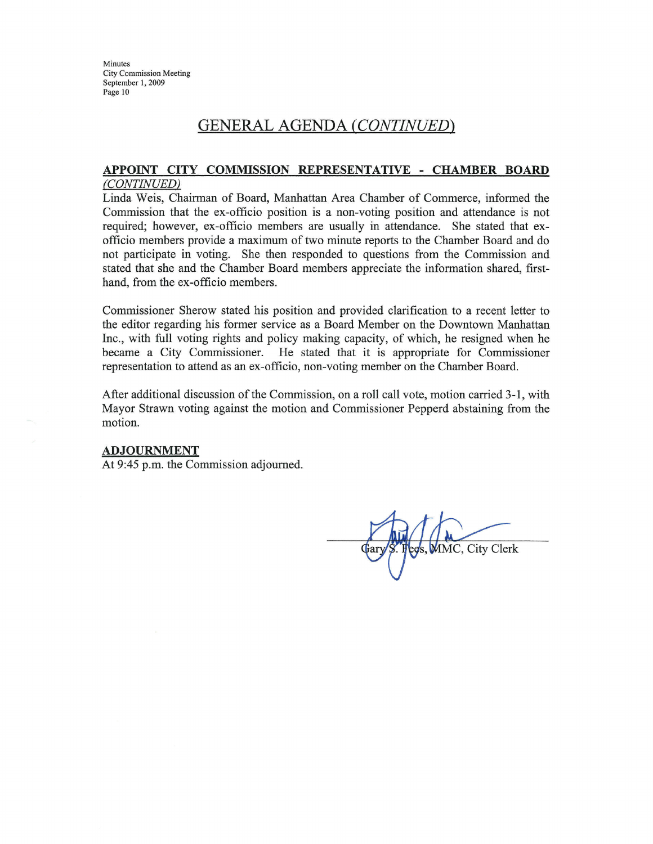Minutes **City Commission Meeting** September 1, 2009 Page 10

## GENERAL AGENDA (CONTINUED)

#### APPOINT CITY COMMISSION REPRESENTATIVE - CHAMBER BOARD (CONTINUED)

Linda Weis, Chairman of Board, Manhattan Area Chamber of Commerce, informed the Commission that the ex-officio position is a non-voting position and attendance is not required; however, ex-officio members are usually in attendance. She stated that exofficio members provide a maximum of two minute reports to the Chamber Board and do not participate in voting. She then responded to questions from the Commission and stated that she and the Chamber Board members appreciate the information shared, firsthand, from the ex-officio members.

Commissioner Sherow stated his position and provided clarification to a recent letter to the editor regarding his former service as a Board Member on the Downtown Manhattan Inc., with full voting rights and policy making capacity, of which, he resigned when he became a City Commissioner. He stated that it is appropriate for Commissioner representation to attend as an ex-officio, non-voting member on the Chamber Board.

After additional discussion of the Commission, on a roll call vote, motion carried 3-1, with Mayor Strawn voting against the motion and Commissioner Pepperd abstaining from the motion.

#### **ADJOURNMENT**

At 9:45 p.m. the Commission adjourned.

MMC, City Clerk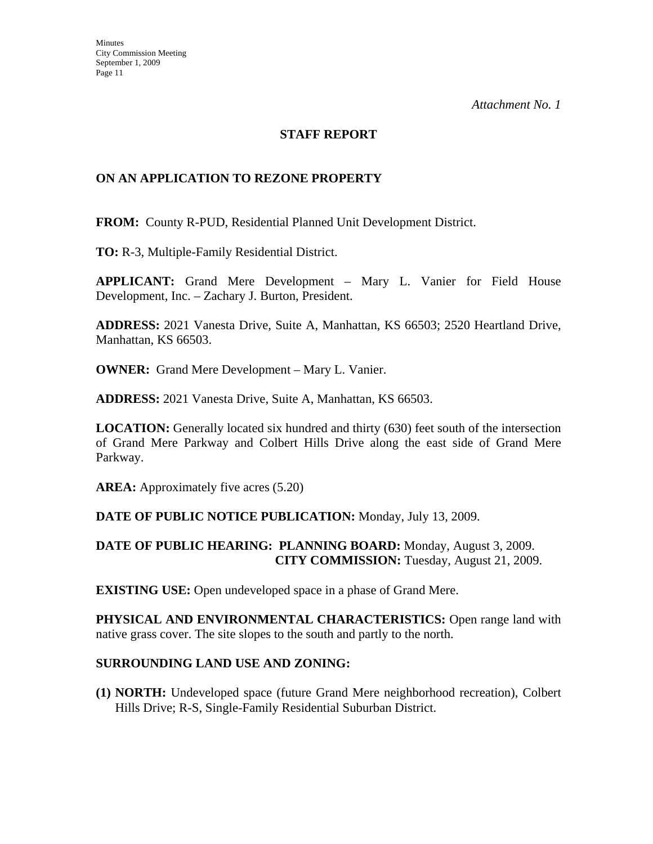### **STAFF REPORT**

### **ON AN APPLICATION TO REZONE PROPERTY**

**FROM:** County R-PUD, Residential Planned Unit Development District.

**TO:** R-3, Multiple-Family Residential District.

**APPLICANT:** Grand Mere Development – Mary L. Vanier for Field House Development, Inc. – Zachary J. Burton, President.

**ADDRESS:** 2021 Vanesta Drive, Suite A, Manhattan, KS 66503; 2520 Heartland Drive, Manhattan, KS 66503.

**OWNER:** Grand Mere Development – Mary L. Vanier.

**ADDRESS:** 2021 Vanesta Drive, Suite A, Manhattan, KS 66503.

**LOCATION:** Generally located six hundred and thirty (630) feet south of the intersection of Grand Mere Parkway and Colbert Hills Drive along the east side of Grand Mere Parkway.

**AREA:** Approximately five acres (5.20)

#### **DATE OF PUBLIC NOTICE PUBLICATION:** Monday, July 13, 2009.

#### **DATE OF PUBLIC HEARING: PLANNING BOARD:** Monday, August 3, 2009. **CITY COMMISSION:** Tuesday, August 21, 2009.

**EXISTING USE:** Open undeveloped space in a phase of Grand Mere.

**PHYSICAL AND ENVIRONMENTAL CHARACTERISTICS:** Open range land with native grass cover. The site slopes to the south and partly to the north.

#### **SURROUNDING LAND USE AND ZONING:**

**(1) NORTH:** Undeveloped space (future Grand Mere neighborhood recreation), Colbert Hills Drive; R-S, Single-Family Residential Suburban District.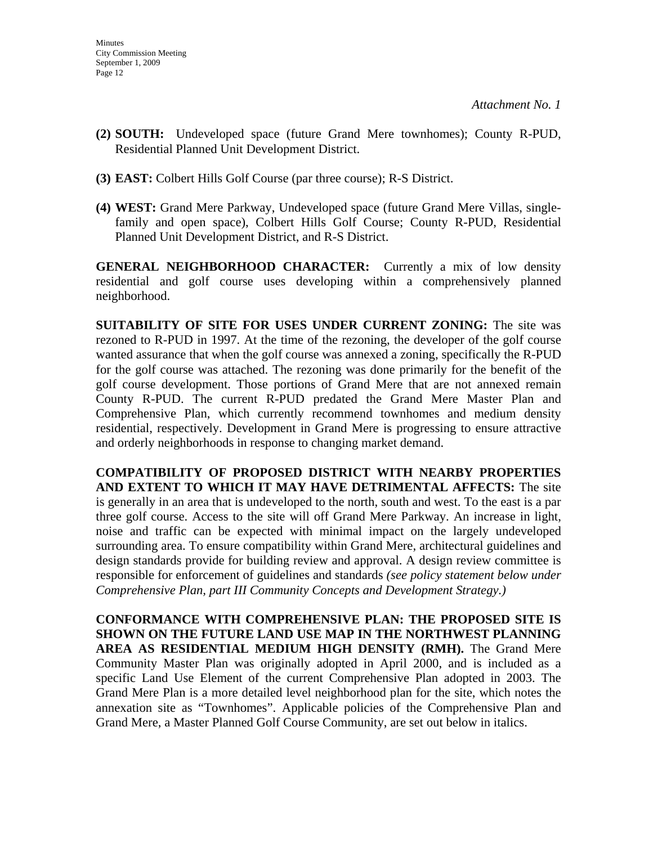- **(2) SOUTH:** Undeveloped space (future Grand Mere townhomes); County R-PUD, Residential Planned Unit Development District.
- **(3) EAST:** Colbert Hills Golf Course (par three course); R-S District.
- **(4) WEST:** Grand Mere Parkway, Undeveloped space (future Grand Mere Villas, singlefamily and open space), Colbert Hills Golf Course; County R-PUD, Residential Planned Unit Development District, and R-S District.

**GENERAL NEIGHBORHOOD CHARACTER:** Currently a mix of low density residential and golf course uses developing within a comprehensively planned neighborhood.

**SUITABILITY OF SITE FOR USES UNDER CURRENT ZONING:** The site was rezoned to R-PUD in 1997. At the time of the rezoning, the developer of the golf course wanted assurance that when the golf course was annexed a zoning, specifically the R-PUD for the golf course was attached. The rezoning was done primarily for the benefit of the golf course development. Those portions of Grand Mere that are not annexed remain County R-PUD. The current R-PUD predated the Grand Mere Master Plan and Comprehensive Plan, which currently recommend townhomes and medium density residential, respectively. Development in Grand Mere is progressing to ensure attractive and orderly neighborhoods in response to changing market demand.

**COMPATIBILITY OF PROPOSED DISTRICT WITH NEARBY PROPERTIES AND EXTENT TO WHICH IT MAY HAVE DETRIMENTAL AFFECTS:** The site is generally in an area that is undeveloped to the north, south and west. To the east is a par three golf course. Access to the site will off Grand Mere Parkway. An increase in light, noise and traffic can be expected with minimal impact on the largely undeveloped surrounding area. To ensure compatibility within Grand Mere, architectural guidelines and design standards provide for building review and approval. A design review committee is responsible for enforcement of guidelines and standards *(see policy statement below under Comprehensive Plan, part III Community Concepts and Development Strategy.)*

**CONFORMANCE WITH COMPREHENSIVE PLAN: THE PROPOSED SITE IS SHOWN ON THE FUTURE LAND USE MAP IN THE NORTHWEST PLANNING AREA AS RESIDENTIAL MEDIUM HIGH DENSITY (RMH).** The Grand Mere Community Master Plan was originally adopted in April 2000, and is included as a specific Land Use Element of the current Comprehensive Plan adopted in 2003. The Grand Mere Plan is a more detailed level neighborhood plan for the site, which notes the annexation site as "Townhomes". Applicable policies of the Comprehensive Plan and Grand Mere, a Master Planned Golf Course Community, are set out below in italics.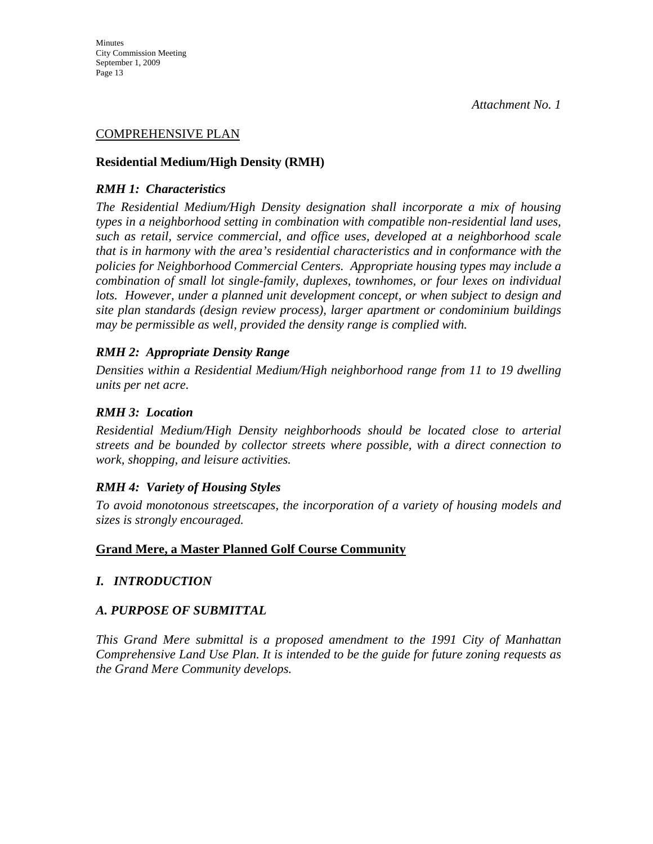#### COMPREHENSIVE PLAN

#### **Residential Medium/High Density (RMH)**

#### *RMH 1: Characteristics*

*The Residential Medium/High Density designation shall incorporate a mix of housing types in a neighborhood setting in combination with compatible non-residential land uses, such as retail, service commercial, and office uses, developed at a neighborhood scale that is in harmony with the area's residential characteristics and in conformance with the policies for Neighborhood Commercial Centers. Appropriate housing types may include a combination of small lot single-family, duplexes, townhomes, or four lexes on individual lots. However, under a planned unit development concept, or when subject to design and site plan standards (design review process), larger apartment or condominium buildings may be permissible as well, provided the density range is complied with.* 

#### *RMH 2: Appropriate Density Range*

*Densities within a Residential Medium/High neighborhood range from 11 to 19 dwelling units per net acre.* 

#### *RMH 3: Location*

*Residential Medium/High Density neighborhoods should be located close to arterial streets and be bounded by collector streets where possible, with a direct connection to work, shopping, and leisure activities.* 

#### *RMH 4: Variety of Housing Styles*

*To avoid monotonous streetscapes, the incorporation of a variety of housing models and sizes is strongly encouraged.* 

#### **Grand Mere, a Master Planned Golf Course Community**

#### *I. INTRODUCTION*

#### *A. PURPOSE OF SUBMITTAL*

*This Grand Mere submittal is a proposed amendment to the 1991 City of Manhattan Comprehensive Land Use Plan. It is intended to be the guide for future zoning requests as the Grand Mere Community develops.*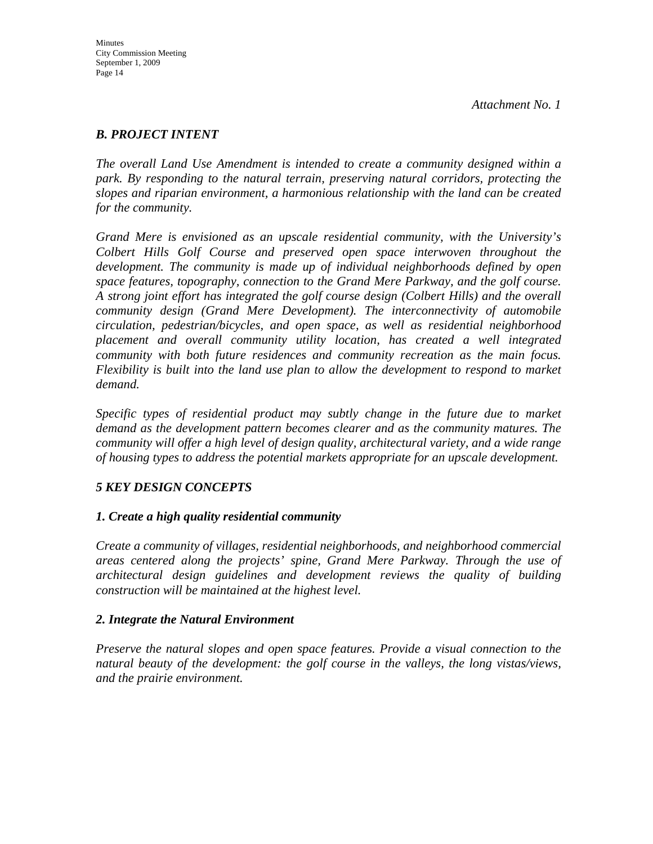#### *B. PROJECT INTENT*

*The overall Land Use Amendment is intended to create a community designed within a park. By responding to the natural terrain, preserving natural corridors, protecting the slopes and riparian environment, a harmonious relationship with the land can be created for the community.* 

*Grand Mere is envisioned as an upscale residential community, with the University's Colbert Hills Golf Course and preserved open space interwoven throughout the development. The community is made up of individual neighborhoods defined by open space features, topography, connection to the Grand Mere Parkway, and the golf course. A strong joint effort has integrated the golf course design (Colbert Hills) and the overall community design (Grand Mere Development). The interconnectivity of automobile circulation, pedestrian/bicycles, and open space, as well as residential neighborhood placement and overall community utility location, has created a well integrated community with both future residences and community recreation as the main focus. Flexibility is built into the land use plan to allow the development to respond to market demand.* 

*Specific types of residential product may subtly change in the future due to market demand as the development pattern becomes clearer and as the community matures. The community will offer a high level of design quality, architectural variety, and a wide range of housing types to address the potential markets appropriate for an upscale development.* 

## *5 KEY DESIGN CONCEPTS*

#### *1. Create a high quality residential community*

*Create a community of villages, residential neighborhoods, and neighborhood commercial areas centered along the projects' spine, Grand Mere Parkway. Through the use of architectural design guidelines and development reviews the quality of building construction will be maintained at the highest level.* 

#### *2. Integrate the Natural Environment*

*Preserve the natural slopes and open space features. Provide a visual connection to the natural beauty of the development: the golf course in the valleys, the long vistas/views, and the prairie environment.*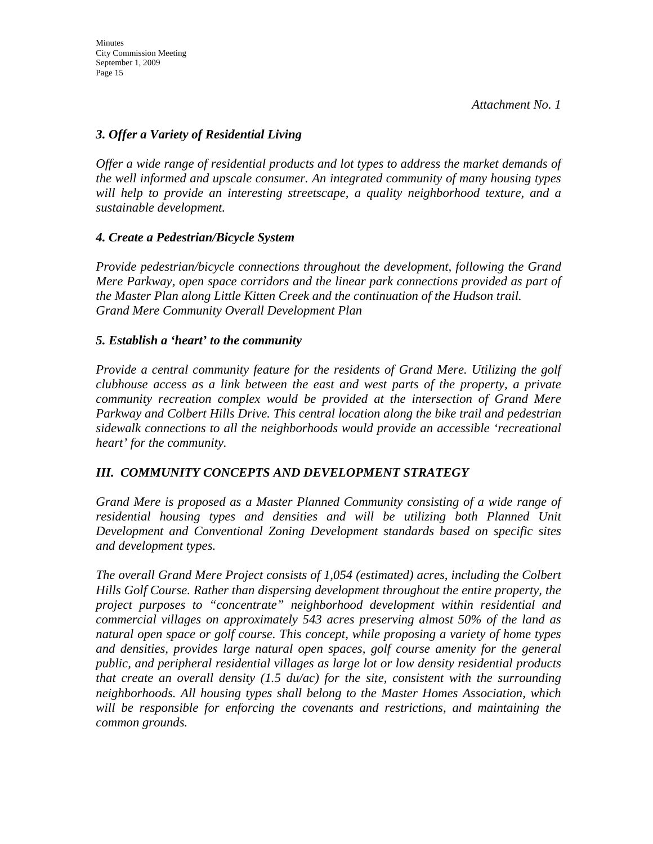### *3. Offer a Variety of Residential Living*

*Offer a wide range of residential products and lot types to address the market demands of the well informed and upscale consumer. An integrated community of many housing types will help to provide an interesting streetscape, a quality neighborhood texture, and a sustainable development.* 

#### *4. Create a Pedestrian/Bicycle System*

*Provide pedestrian/bicycle connections throughout the development, following the Grand Mere Parkway, open space corridors and the linear park connections provided as part of the Master Plan along Little Kitten Creek and the continuation of the Hudson trail. Grand Mere Community Overall Development Plan* 

#### *5. Establish a 'heart' to the community*

*Provide a central community feature for the residents of Grand Mere. Utilizing the golf clubhouse access as a link between the east and west parts of the property, a private community recreation complex would be provided at the intersection of Grand Mere Parkway and Colbert Hills Drive. This central location along the bike trail and pedestrian sidewalk connections to all the neighborhoods would provide an accessible 'recreational heart' for the community.* 

## *III. COMMUNITY CONCEPTS AND DEVELOPMENT STRATEGY*

*Grand Mere is proposed as a Master Planned Community consisting of a wide range of residential housing types and densities and will be utilizing both Planned Unit Development and Conventional Zoning Development standards based on specific sites and development types.* 

*The overall Grand Mere Project consists of 1,054 (estimated) acres, including the Colbert Hills Golf Course. Rather than dispersing development throughout the entire property, the project purposes to "concentrate" neighborhood development within residential and commercial villages on approximately 543 acres preserving almost 50% of the land as natural open space or golf course. This concept, while proposing a variety of home types and densities, provides large natural open spaces, golf course amenity for the general public, and peripheral residential villages as large lot or low density residential products that create an overall density (1.5 du/ac) for the site, consistent with the surrounding neighborhoods. All housing types shall belong to the Master Homes Association, which will be responsible for enforcing the covenants and restrictions, and maintaining the common grounds.*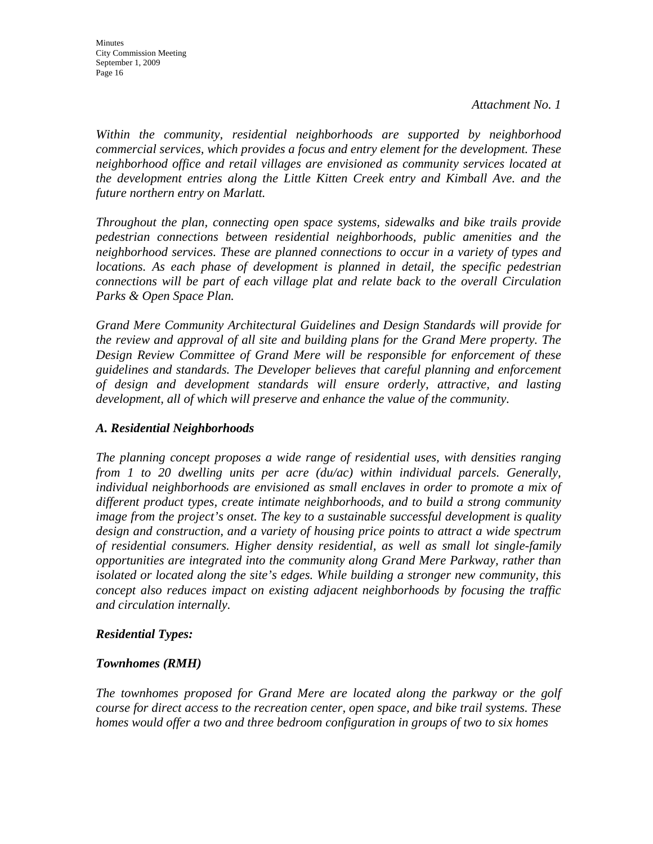*Within the community, residential neighborhoods are supported by neighborhood commercial services, which provides a focus and entry element for the development. These neighborhood office and retail villages are envisioned as community services located at the development entries along the Little Kitten Creek entry and Kimball Ave. and the future northern entry on Marlatt.* 

*Throughout the plan, connecting open space systems, sidewalks and bike trails provide pedestrian connections between residential neighborhoods, public amenities and the neighborhood services. These are planned connections to occur in a variety of types and locations. As each phase of development is planned in detail, the specific pedestrian connections will be part of each village plat and relate back to the overall Circulation Parks & Open Space Plan.* 

*Grand Mere Community Architectural Guidelines and Design Standards will provide for the review and approval of all site and building plans for the Grand Mere property. The Design Review Committee of Grand Mere will be responsible for enforcement of these guidelines and standards. The Developer believes that careful planning and enforcement of design and development standards will ensure orderly, attractive, and lasting development, all of which will preserve and enhance the value of the community.* 

### *A. Residential Neighborhoods*

*The planning concept proposes a wide range of residential uses, with densities ranging from 1 to 20 dwelling units per acre (du/ac) within individual parcels. Generally, individual neighborhoods are envisioned as small enclaves in order to promote a mix of different product types, create intimate neighborhoods, and to build a strong community image from the project's onset. The key to a sustainable successful development is quality design and construction, and a variety of housing price points to attract a wide spectrum of residential consumers. Higher density residential, as well as small lot single-family opportunities are integrated into the community along Grand Mere Parkway, rather than isolated or located along the site's edges. While building a stronger new community, this concept also reduces impact on existing adjacent neighborhoods by focusing the traffic and circulation internally.* 

#### *Residential Types:*

#### *Townhomes (RMH)*

*The townhomes proposed for Grand Mere are located along the parkway or the golf course for direct access to the recreation center, open space, and bike trail systems. These homes would offer a two and three bedroom configuration in groups of two to six homes*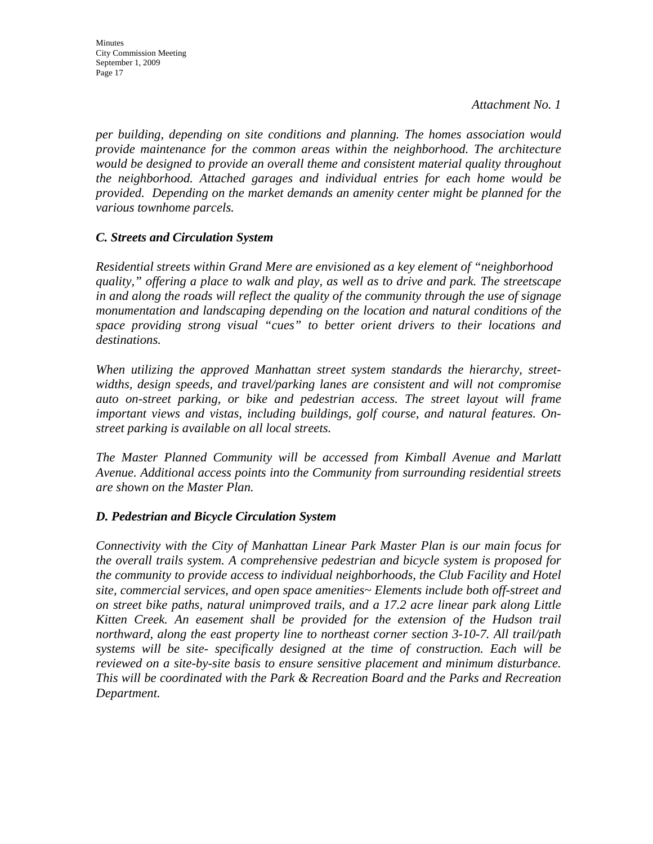*per building, depending on site conditions and planning. The homes association would provide maintenance for the common areas within the neighborhood. The architecture would be designed to provide an overall theme and consistent material quality throughout the neighborhood. Attached garages and individual entries for each home would be provided. Depending on the market demands an amenity center might be planned for the various townhome parcels.* 

#### *C. Streets and Circulation System*

*Residential streets within Grand Mere are envisioned as a key element of "neighborhood quality," offering a place to walk and play, as well as to drive and park. The streetscape in and along the roads will reflect the quality of the community through the use of signage monumentation and landscaping depending on the location and natural conditions of the space providing strong visual "cues" to better orient drivers to their locations and destinations.* 

*When utilizing the approved Manhattan street system standards the hierarchy, streetwidths, design speeds, and travel/parking lanes are consistent and will not compromise auto on-street parking, or bike and pedestrian access. The street layout will frame important views and vistas, including buildings, golf course, and natural features. Onstreet parking is available on all local streets.* 

*The Master Planned Community will be accessed from Kimball Avenue and Marlatt Avenue. Additional access points into the Community from surrounding residential streets are shown on the Master Plan.* 

#### *D. Pedestrian and Bicycle Circulation System*

*Connectivity with the City of Manhattan Linear Park Master Plan is our main focus for the overall trails system. A comprehensive pedestrian and bicycle system is proposed for the community to provide access to individual neighborhoods, the Club Facility and Hotel site, commercial services, and open space amenities~ Elements include both off-street and on street bike paths, natural unimproved trails, and a 17.2 acre linear park along Little Kitten Creek. An easement shall be provided for the extension of the Hudson trail northward, along the east property line to northeast corner section 3-10-7. All trail/path systems will be site- specifically designed at the time of construction. Each will be reviewed on a site-by-site basis to ensure sensitive placement and minimum disturbance. This will be coordinated with the Park & Recreation Board and the Parks and Recreation Department.*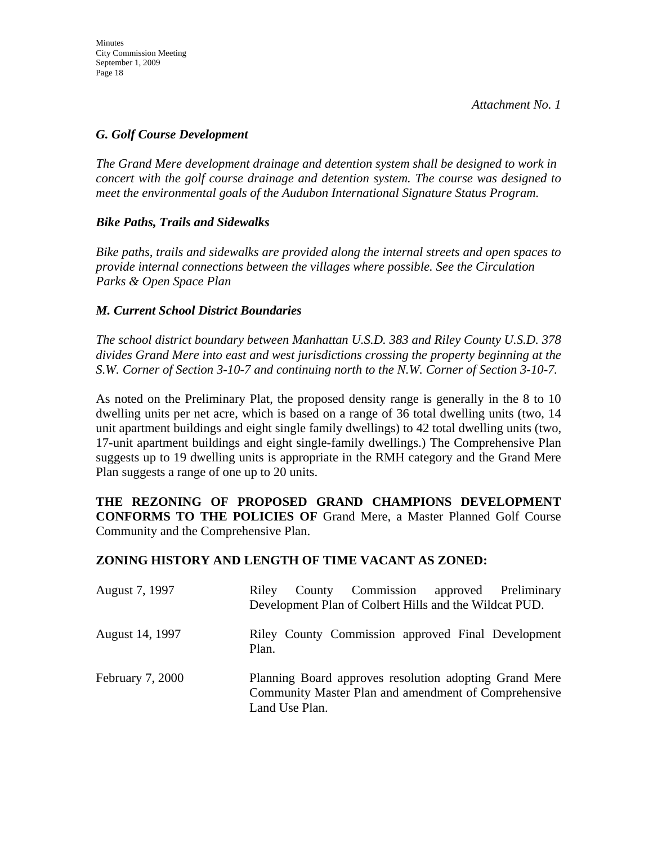#### *G. Golf Course Development*

*The Grand Mere development drainage and detention system shall be designed to work in concert with the golf course drainage and detention system. The course was designed to meet the environmental goals of the Audubon International Signature Status Program.* 

#### *Bike Paths, Trails and Sidewalks*

*Bike paths, trails and sidewalks are provided along the internal streets and open spaces to provide internal connections between the villages where possible. See the Circulation Parks & Open Space Plan* 

#### *M. Current School District Boundaries*

*The school district boundary between Manhattan U.S.D. 383 and Riley County U.S.D. 378 divides Grand Mere into east and west jurisdictions crossing the property beginning at the S.W. Corner of Section 3-10-7 and continuing north to the N.W. Corner of Section 3-10-7.* 

As noted on the Preliminary Plat, the proposed density range is generally in the 8 to 10 dwelling units per net acre, which is based on a range of 36 total dwelling units (two, 14 unit apartment buildings and eight single family dwellings) to 42 total dwelling units (two, 17-unit apartment buildings and eight single-family dwellings.) The Comprehensive Plan suggests up to 19 dwelling units is appropriate in the RMH category and the Grand Mere Plan suggests a range of one up to 20 units.

**THE REZONING OF PROPOSED GRAND CHAMPIONS DEVELOPMENT CONFORMS TO THE POLICIES OF** Grand Mere, a Master Planned Golf Course Community and the Comprehensive Plan.

#### **ZONING HISTORY AND LENGTH OF TIME VACANT AS ZONED:**

| August 7, 1997          | County Commission approved Preliminary<br>Riley<br>Development Plan of Colbert Hills and the Wildcat PUD.                        |  |
|-------------------------|----------------------------------------------------------------------------------------------------------------------------------|--|
| August 14, 1997         | Riley County Commission approved Final Development<br>Plan.                                                                      |  |
| <b>February 7, 2000</b> | Planning Board approves resolution adopting Grand Mere<br>Community Master Plan and amendment of Comprehensive<br>Land Use Plan. |  |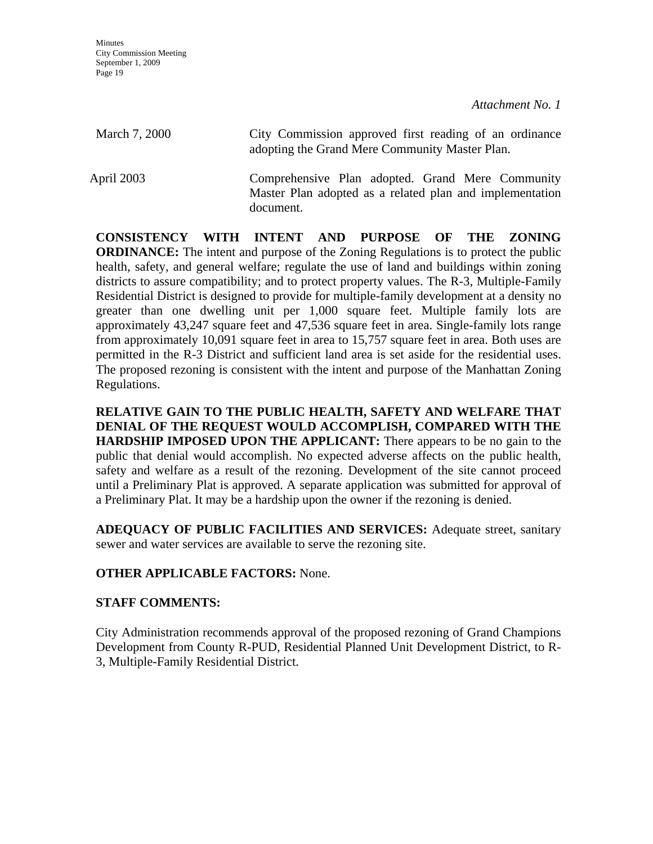| March 7, 2000 | City Commission approved first reading of an ordinance<br>adopting the Grand Mere Community Master Plan.                  |
|---------------|---------------------------------------------------------------------------------------------------------------------------|
| April 2003    | Comprehensive Plan adopted. Grand Mere Community<br>Master Plan adopted as a related plan and implementation<br>document. |

**CONSISTENCY WITH INTENT AND PURPOSE OF THE ZONING ORDINANCE:** The intent and purpose of the Zoning Regulations is to protect the public health, safety, and general welfare; regulate the use of land and buildings within zoning districts to assure compatibility; and to protect property values. The R-3, Multiple-Family Residential District is designed to provide for multiple-family development at a density no greater than one dwelling unit per 1,000 square feet. Multiple family lots are approximately 43,247 square feet and 47,536 square feet in area. Single-family lots range from approximately 10,091 square feet in area to 15,757 square feet in area. Both uses are permitted in the R-3 District and sufficient land area is set aside for the residential uses. The proposed rezoning is consistent with the intent and purpose of the Manhattan Zoning Regulations.

**RELATIVE GAIN TO THE PUBLIC HEALTH, SAFETY AND WELFARE THAT DENIAL OF THE REQUEST WOULD ACCOMPLISH, COMPARED WITH THE HARDSHIP IMPOSED UPON THE APPLICANT:** There appears to be no gain to the public that denial would accomplish. No expected adverse affects on the public health, safety and welfare as a result of the rezoning. Development of the site cannot proceed until a Preliminary Plat is approved. A separate application was submitted for approval of a Preliminary Plat. It may be a hardship upon the owner if the rezoning is denied.

**ADEQUACY OF PUBLIC FACILITIES AND SERVICES:** Adequate street, sanitary sewer and water services are available to serve the rezoning site.

## **OTHER APPLICABLE FACTORS:** None.

## **STAFF COMMENTS:**

City Administration recommends approval of the proposed rezoning of Grand Champions Development from County R-PUD, Residential Planned Unit Development District, to R-3, Multiple-Family Residential District.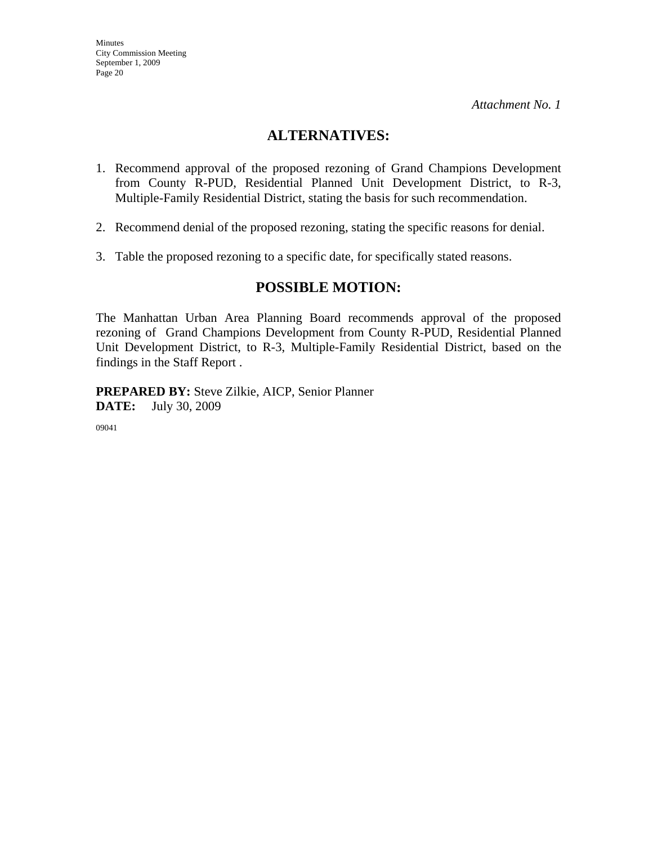# **ALTERNATIVES:**

- 1. Recommend approval of the proposed rezoning of Grand Champions Development from County R-PUD, Residential Planned Unit Development District, to R-3, Multiple-Family Residential District, stating the basis for such recommendation.
- 2. Recommend denial of the proposed rezoning, stating the specific reasons for denial.
- 3. Table the proposed rezoning to a specific date, for specifically stated reasons.

## **POSSIBLE MOTION:**

The Manhattan Urban Area Planning Board recommends approval of the proposed rezoning of Grand Champions Development from County R-PUD, Residential Planned Unit Development District, to R-3, Multiple-Family Residential District, based on the findings in the Staff Report .

**PREPARED BY:** Steve Zilkie, AICP, Senior Planner **DATE:** July 30, 2009

09041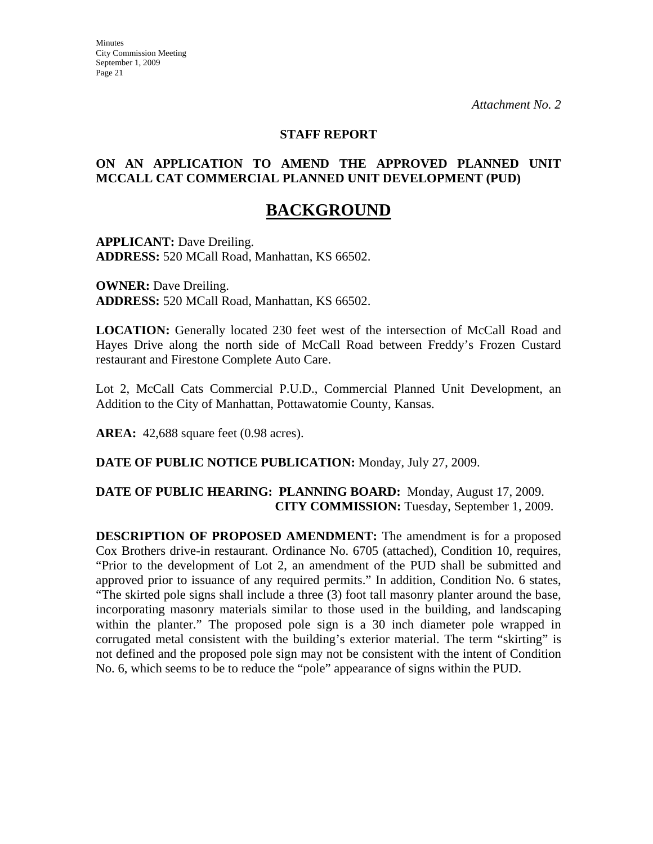#### **STAFF REPORT**

#### **ON AN APPLICATION TO AMEND THE APPROVED PLANNED UNIT MCCALL CAT COMMERCIAL PLANNED UNIT DEVELOPMENT (PUD)**

# **BACKGROUND**

**APPLICANT:** Dave Dreiling. **ADDRESS:** 520 MCall Road, Manhattan, KS 66502.

**OWNER:** Dave Dreiling. **ADDRESS:** 520 MCall Road, Manhattan, KS 66502.

**LOCATION:** Generally located 230 feet west of the intersection of McCall Road and Hayes Drive along the north side of McCall Road between Freddy's Frozen Custard restaurant and Firestone Complete Auto Care.

Lot 2, McCall Cats Commercial P.U.D., Commercial Planned Unit Development, an Addition to the City of Manhattan, Pottawatomie County, Kansas.

**AREA:** 42,688 square feet (0.98 acres).

**DATE OF PUBLIC NOTICE PUBLICATION:** Monday, July 27, 2009.

#### **DATE OF PUBLIC HEARING: PLANNING BOARD:** Monday, August 17, 2009. **CITY COMMISSION:** Tuesday, September 1, 2009.

**DESCRIPTION OF PROPOSED AMENDMENT:** The amendment is for a proposed Cox Brothers drive-in restaurant. Ordinance No. 6705 (attached), Condition 10, requires, "Prior to the development of Lot 2, an amendment of the PUD shall be submitted and approved prior to issuance of any required permits." In addition, Condition No. 6 states, "The skirted pole signs shall include a three (3) foot tall masonry planter around the base, incorporating masonry materials similar to those used in the building, and landscaping within the planter." The proposed pole sign is a 30 inch diameter pole wrapped in corrugated metal consistent with the building's exterior material. The term "skirting" is not defined and the proposed pole sign may not be consistent with the intent of Condition No. 6, which seems to be to reduce the "pole" appearance of signs within the PUD.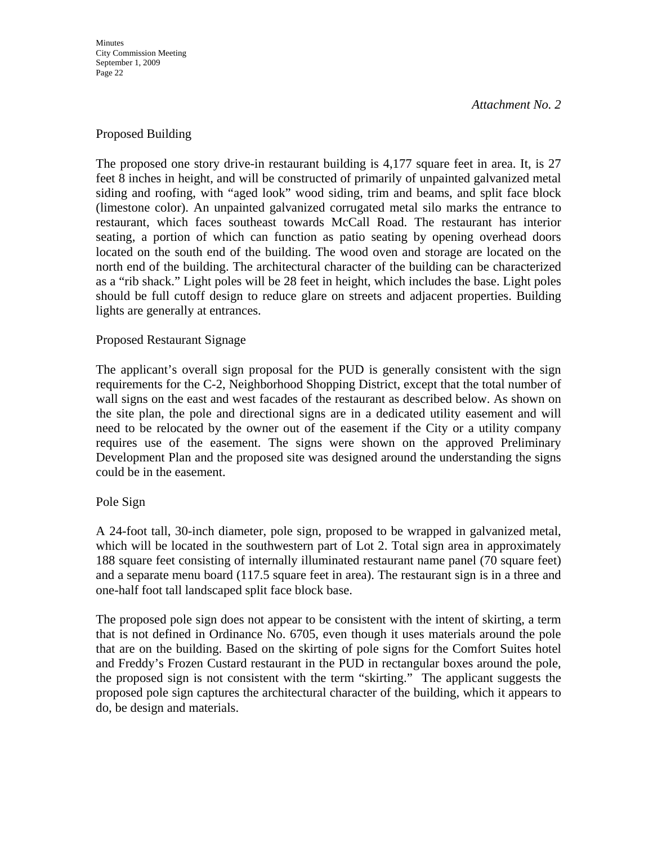**Minutes** City Commission Meeting September 1, 2009 Page 22

#### *Attachment No. 2*

#### Proposed Building

The proposed one story drive-in restaurant building is 4,177 square feet in area. It, is 27 feet 8 inches in height, and will be constructed of primarily of unpainted galvanized metal siding and roofing, with "aged look" wood siding, trim and beams, and split face block (limestone color). An unpainted galvanized corrugated metal silo marks the entrance to restaurant, which faces southeast towards McCall Road. The restaurant has interior seating, a portion of which can function as patio seating by opening overhead doors located on the south end of the building. The wood oven and storage are located on the north end of the building. The architectural character of the building can be characterized as a "rib shack." Light poles will be 28 feet in height, which includes the base. Light poles should be full cutoff design to reduce glare on streets and adjacent properties. Building lights are generally at entrances.

#### Proposed Restaurant Signage

The applicant's overall sign proposal for the PUD is generally consistent with the sign requirements for the C-2, Neighborhood Shopping District, except that the total number of wall signs on the east and west facades of the restaurant as described below. As shown on the site plan, the pole and directional signs are in a dedicated utility easement and will need to be relocated by the owner out of the easement if the City or a utility company requires use of the easement. The signs were shown on the approved Preliminary Development Plan and the proposed site was designed around the understanding the signs could be in the easement.

#### Pole Sign

A 24-foot tall, 30-inch diameter, pole sign, proposed to be wrapped in galvanized metal, which will be located in the southwestern part of Lot 2. Total sign area in approximately 188 square feet consisting of internally illuminated restaurant name panel (70 square feet) and a separate menu board (117.5 square feet in area). The restaurant sign is in a three and one-half foot tall landscaped split face block base.

The proposed pole sign does not appear to be consistent with the intent of skirting, a term that is not defined in Ordinance No. 6705, even though it uses materials around the pole that are on the building. Based on the skirting of pole signs for the Comfort Suites hotel and Freddy's Frozen Custard restaurant in the PUD in rectangular boxes around the pole, the proposed sign is not consistent with the term "skirting." The applicant suggests the proposed pole sign captures the architectural character of the building, which it appears to do, be design and materials.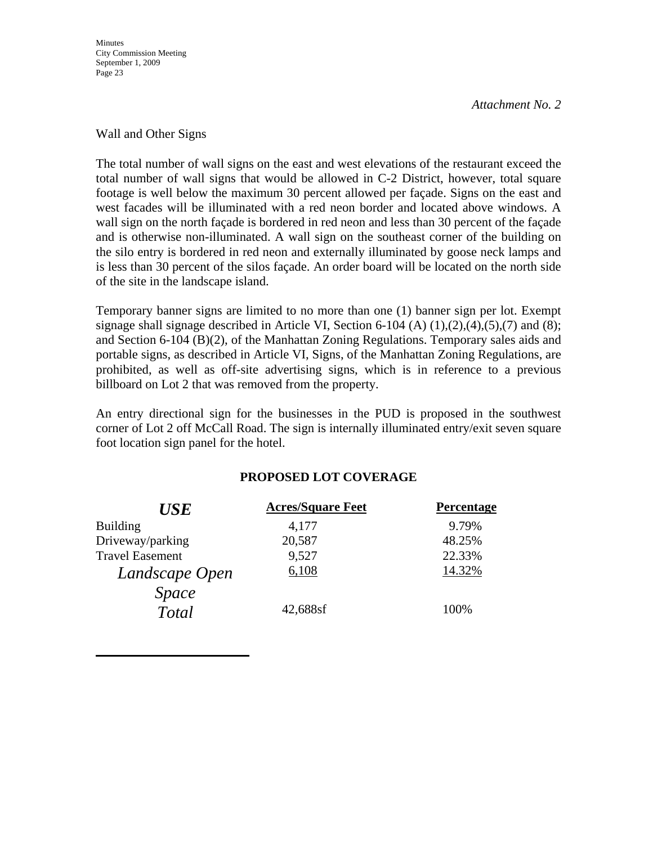**Minutes** City Commission Meeting September 1, 2009 Page 23

*Attachment No. 2*

#### Wall and Other Signs

The total number of wall signs on the east and west elevations of the restaurant exceed the total number of wall signs that would be allowed in C-2 District, however, total square footage is well below the maximum 30 percent allowed per façade. Signs on the east and west facades will be illuminated with a red neon border and located above windows. A wall sign on the north façade is bordered in red neon and less than 30 percent of the façade and is otherwise non-illuminated. A wall sign on the southeast corner of the building on the silo entry is bordered in red neon and externally illuminated by goose neck lamps and is less than 30 percent of the silos façade. An order board will be located on the north side of the site in the landscape island.

Temporary banner signs are limited to no more than one (1) banner sign per lot. Exempt signage shall signage described in Article VI, Section 6-104 (A)  $(1)$ , $(2)$ , $(4)$ , $(5)$ , $(7)$  and  $(8)$ ; and Section 6-104 (B)(2), of the Manhattan Zoning Regulations. Temporary sales aids and portable signs, as described in Article VI, Signs, of the Manhattan Zoning Regulations, are prohibited, as well as off-site advertising signs, which is in reference to a previous billboard on Lot 2 that was removed from the property.

An entry directional sign for the businesses in the PUD is proposed in the southwest corner of Lot 2 off McCall Road. The sign is internally illuminated entry/exit seven square foot location sign panel for the hotel.

#### **PROPOSED LOT COVERAGE**

| <b>USE</b>             | <b>Acres/Square Feet</b> | Percentage |
|------------------------|--------------------------|------------|
| <b>Building</b>        | 4,177                    | 9.79%      |
| Driveway/parking       | 20,587                   | 48.25%     |
| <b>Travel Easement</b> | 9,527                    | 22.33%     |
| Landscape Open         | 6,108                    | 14.32%     |
| <i>Space</i>           |                          |            |
| Total                  | 42,688sf                 | 100%       |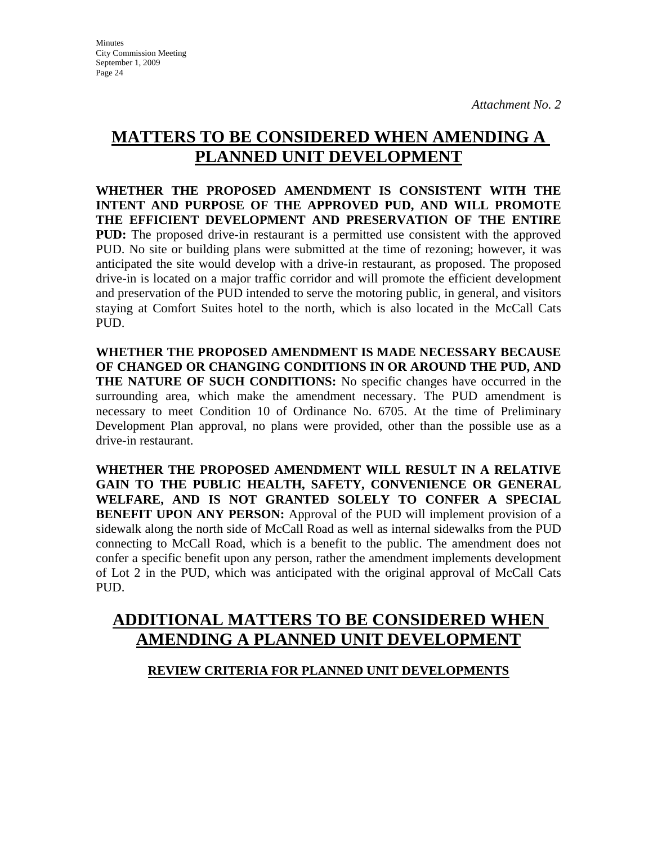# **MATTERS TO BE CONSIDERED WHEN AMENDING A PLANNED UNIT DEVELOPMENT**

**WHETHER THE PROPOSED AMENDMENT IS CONSISTENT WITH THE INTENT AND PURPOSE OF THE APPROVED PUD, AND WILL PROMOTE THE EFFICIENT DEVELOPMENT AND PRESERVATION OF THE ENTIRE PUD:** The proposed drive-in restaurant is a permitted use consistent with the approved PUD. No site or building plans were submitted at the time of rezoning; however, it was anticipated the site would develop with a drive-in restaurant, as proposed. The proposed drive-in is located on a major traffic corridor and will promote the efficient development and preservation of the PUD intended to serve the motoring public, in general, and visitors staying at Comfort Suites hotel to the north, which is also located in the McCall Cats PUD.

**WHETHER THE PROPOSED AMENDMENT IS MADE NECESSARY BECAUSE OF CHANGED OR CHANGING CONDITIONS IN OR AROUND THE PUD, AND THE NATURE OF SUCH CONDITIONS:** No specific changes have occurred in the surrounding area, which make the amendment necessary. The PUD amendment is necessary to meet Condition 10 of Ordinance No. 6705. At the time of Preliminary Development Plan approval, no plans were provided, other than the possible use as a drive-in restaurant.

**WHETHER THE PROPOSED AMENDMENT WILL RESULT IN A RELATIVE GAIN TO THE PUBLIC HEALTH, SAFETY, CONVENIENCE OR GENERAL WELFARE, AND IS NOT GRANTED SOLELY TO CONFER A SPECIAL BENEFIT UPON ANY PERSON:** Approval of the PUD will implement provision of a sidewalk along the north side of McCall Road as well as internal sidewalks from the PUD connecting to McCall Road, which is a benefit to the public. The amendment does not confer a specific benefit upon any person, rather the amendment implements development of Lot 2 in the PUD, which was anticipated with the original approval of McCall Cats PUD.

# **ADDITIONAL MATTERS TO BE CONSIDERED WHEN AMENDING A PLANNED UNIT DEVELOPMENT**

## **REVIEW CRITERIA FOR PLANNED UNIT DEVELOPMENTS**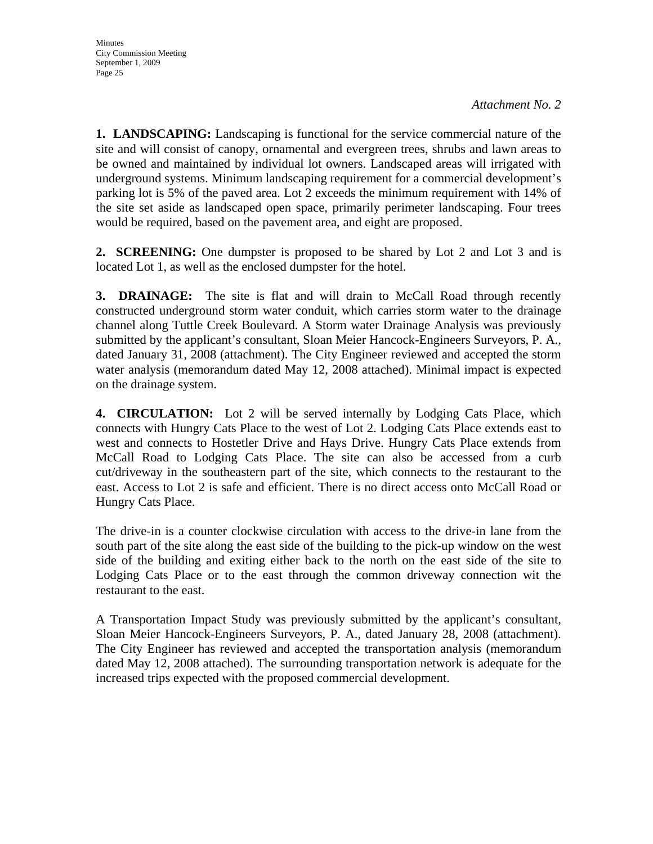**1. LANDSCAPING:** Landscaping is functional for the service commercial nature of the site and will consist of canopy, ornamental and evergreen trees, shrubs and lawn areas to be owned and maintained by individual lot owners. Landscaped areas will irrigated with underground systems. Minimum landscaping requirement for a commercial development's parking lot is 5% of the paved area. Lot 2 exceeds the minimum requirement with 14% of the site set aside as landscaped open space, primarily perimeter landscaping. Four trees would be required, based on the pavement area, and eight are proposed.

**2. SCREENING:** One dumpster is proposed to be shared by Lot 2 and Lot 3 and is located Lot 1, as well as the enclosed dumpster for the hotel.

**3. DRAINAGE:** The site is flat and will drain to McCall Road through recently constructed underground storm water conduit, which carries storm water to the drainage channel along Tuttle Creek Boulevard. A Storm water Drainage Analysis was previously submitted by the applicant's consultant, Sloan Meier Hancock-Engineers Surveyors, P. A., dated January 31, 2008 (attachment). The City Engineer reviewed and accepted the storm water analysis (memorandum dated May 12, 2008 attached). Minimal impact is expected on the drainage system.

**4. CIRCULATION:** Lot 2 will be served internally by Lodging Cats Place, which connects with Hungry Cats Place to the west of Lot 2. Lodging Cats Place extends east to west and connects to Hostetler Drive and Hays Drive. Hungry Cats Place extends from McCall Road to Lodging Cats Place. The site can also be accessed from a curb cut/driveway in the southeastern part of the site, which connects to the restaurant to the east. Access to Lot 2 is safe and efficient. There is no direct access onto McCall Road or Hungry Cats Place.

The drive-in is a counter clockwise circulation with access to the drive-in lane from the south part of the site along the east side of the building to the pick-up window on the west side of the building and exiting either back to the north on the east side of the site to Lodging Cats Place or to the east through the common driveway connection wit the restaurant to the east.

A Transportation Impact Study was previously submitted by the applicant's consultant, Sloan Meier Hancock-Engineers Surveyors, P. A., dated January 28, 2008 (attachment). The City Engineer has reviewed and accepted the transportation analysis (memorandum dated May 12, 2008 attached). The surrounding transportation network is adequate for the increased trips expected with the proposed commercial development.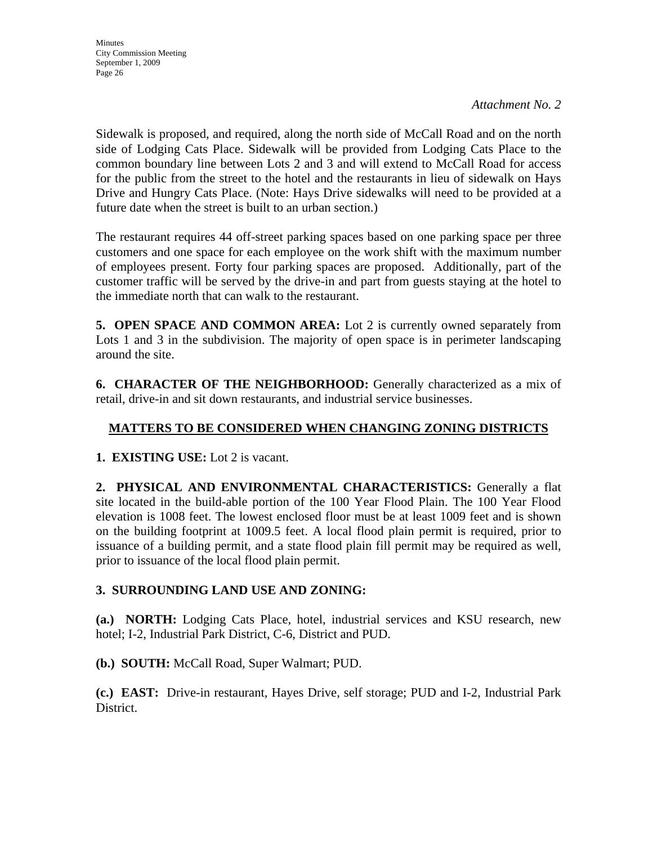Sidewalk is proposed, and required, along the north side of McCall Road and on the north side of Lodging Cats Place. Sidewalk will be provided from Lodging Cats Place to the common boundary line between Lots 2 and 3 and will extend to McCall Road for access for the public from the street to the hotel and the restaurants in lieu of sidewalk on Hays Drive and Hungry Cats Place. (Note: Hays Drive sidewalks will need to be provided at a future date when the street is built to an urban section.)

The restaurant requires 44 off-street parking spaces based on one parking space per three customers and one space for each employee on the work shift with the maximum number of employees present. Forty four parking spaces are proposed. Additionally, part of the customer traffic will be served by the drive-in and part from guests staying at the hotel to the immediate north that can walk to the restaurant.

**5. OPEN SPACE AND COMMON AREA:** Lot 2 is currently owned separately from Lots 1 and 3 in the subdivision. The majority of open space is in perimeter landscaping around the site.

**6. CHARACTER OF THE NEIGHBORHOOD:** Generally characterized as a mix of retail, drive-in and sit down restaurants, and industrial service businesses.

## **MATTERS TO BE CONSIDERED WHEN CHANGING ZONING DISTRICTS**

**1. EXISTING USE:** Lot 2 is vacant.

**2. PHYSICAL AND ENVIRONMENTAL CHARACTERISTICS:** Generally a flat site located in the build-able portion of the 100 Year Flood Plain. The 100 Year Flood elevation is 1008 feet. The lowest enclosed floor must be at least 1009 feet and is shown on the building footprint at 1009.5 feet. A local flood plain permit is required, prior to issuance of a building permit, and a state flood plain fill permit may be required as well, prior to issuance of the local flood plain permit.

## **3. SURROUNDING LAND USE AND ZONING:**

**(a.) NORTH:** Lodging Cats Place, hotel, industrial services and KSU research, new hotel; I-2, Industrial Park District, C-6, District and PUD.

**(b.) SOUTH:** McCall Road, Super Walmart; PUD.

**(c.) EAST:** Drive-in restaurant, Hayes Drive, self storage; PUD and I-2, Industrial Park District.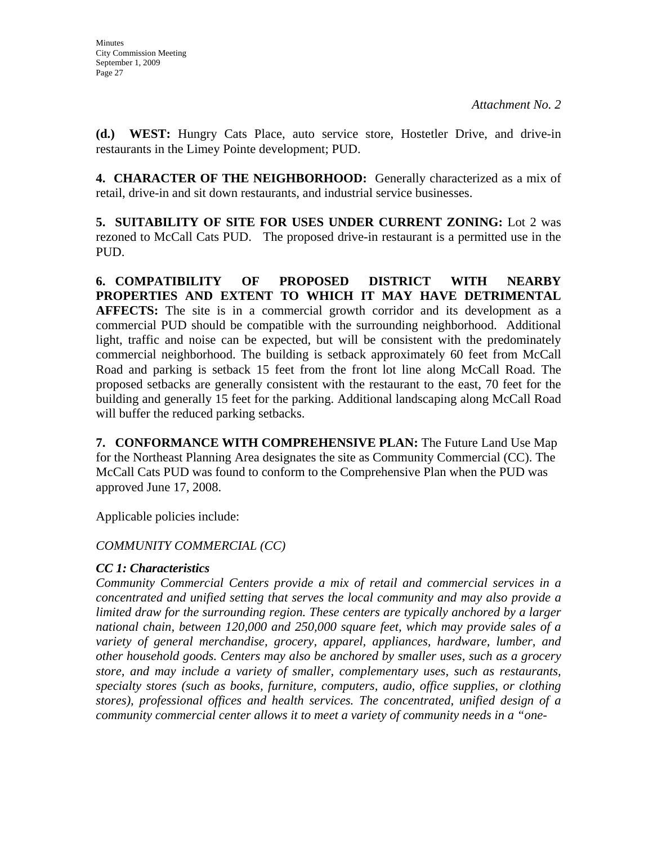**(d.) WEST:** Hungry Cats Place, auto service store, Hostetler Drive, and drive-in restaurants in the Limey Pointe development; PUD.

**4. CHARACTER OF THE NEIGHBORHOOD:** Generally characterized as a mix of retail, drive-in and sit down restaurants, and industrial service businesses.

**5. SUITABILITY OF SITE FOR USES UNDER CURRENT ZONING:** Lot 2 was rezoned to McCall Cats PUD. The proposed drive-in restaurant is a permitted use in the PUD.

**6. COMPATIBILITY OF PROPOSED DISTRICT WITH NEARBY PROPERTIES AND EXTENT TO WHICH IT MAY HAVE DETRIMENTAL**  AFFECTS: The site is in a commercial growth corridor and its development as a commercial PUD should be compatible with the surrounding neighborhood. Additional light, traffic and noise can be expected, but will be consistent with the predominately commercial neighborhood. The building is setback approximately 60 feet from McCall Road and parking is setback 15 feet from the front lot line along McCall Road. The proposed setbacks are generally consistent with the restaurant to the east, 70 feet for the building and generally 15 feet for the parking. Additional landscaping along McCall Road will buffer the reduced parking setbacks.

**7. CONFORMANCE WITH COMPREHENSIVE PLAN:** The Future Land Use Map for the Northeast Planning Area designates the site as Community Commercial (CC). The McCall Cats PUD was found to conform to the Comprehensive Plan when the PUD was approved June 17, 2008.

Applicable policies include:

## *COMMUNITY COMMERCIAL (CC)*

## *CC 1: Characteristics*

*Community Commercial Centers provide a mix of retail and commercial services in a concentrated and unified setting that serves the local community and may also provide a limited draw for the surrounding region. These centers are typically anchored by a larger national chain, between 120,000 and 250,000 square feet, which may provide sales of a variety of general merchandise, grocery, apparel, appliances, hardware, lumber, and other household goods. Centers may also be anchored by smaller uses, such as a grocery store, and may include a variety of smaller, complementary uses, such as restaurants, specialty stores (such as books, furniture, computers, audio, office supplies, or clothing stores), professional offices and health services. The concentrated, unified design of a community commercial center allows it to meet a variety of community needs in a "one-*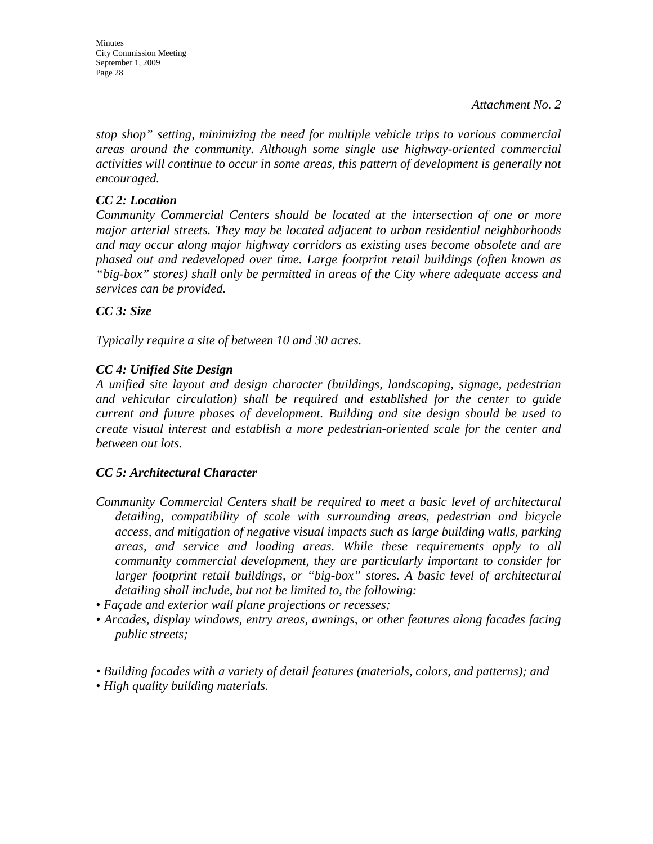*stop shop" setting, minimizing the need for multiple vehicle trips to various commercial areas around the community. Although some single use highway-oriented commercial activities will continue to occur in some areas, this pattern of development is generally not encouraged.* 

## *CC 2: Location*

*Community Commercial Centers should be located at the intersection of one or more major arterial streets. They may be located adjacent to urban residential neighborhoods and may occur along major highway corridors as existing uses become obsolete and are phased out and redeveloped over time. Large footprint retail buildings (often known as "big-box" stores) shall only be permitted in areas of the City where adequate access and services can be provided.* 

## *CC 3: Size*

*Typically require a site of between 10 and 30 acres.* 

## *CC 4: Unified Site Design*

*A unified site layout and design character (buildings, landscaping, signage, pedestrian and vehicular circulation) shall be required and established for the center to guide current and future phases of development. Building and site design should be used to create visual interest and establish a more pedestrian-oriented scale for the center and between out lots.* 

## *CC 5: Architectural Character*

- *Community Commercial Centers shall be required to meet a basic level of architectural detailing, compatibility of scale with surrounding areas, pedestrian and bicycle access, and mitigation of negative visual impacts such as large building walls, parking areas, and service and loading areas. While these requirements apply to all community commercial development, they are particularly important to consider for larger footprint retail buildings, or "big-box" stores. A basic level of architectural detailing shall include, but not be limited to, the following:*
- *Façade and exterior wall plane projections or recesses;*
- *Arcades, display windows, entry areas, awnings, or other features along facades facing public streets;*
- *Building facades with a variety of detail features (materials, colors, and patterns); and*
- *High quality building materials.*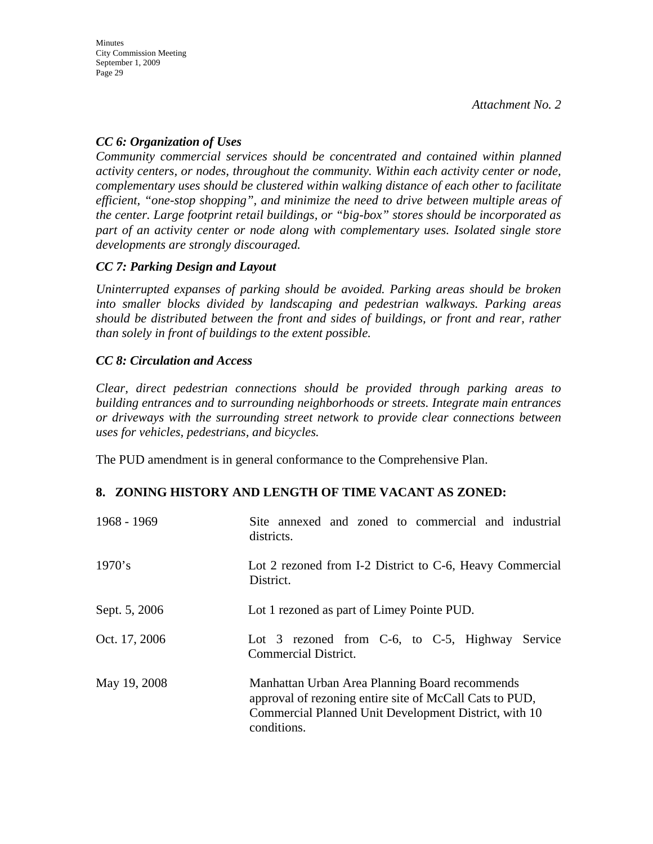## *CC 6: Organization of Uses*

*Community commercial services should be concentrated and contained within planned activity centers, or nodes, throughout the community. Within each activity center or node, complementary uses should be clustered within walking distance of each other to facilitate efficient, "one-stop shopping", and minimize the need to drive between multiple areas of the center. Large footprint retail buildings, or "big-box" stores should be incorporated as part of an activity center or node along with complementary uses. Isolated single store developments are strongly discouraged.* 

## *CC 7: Parking Design and Layout*

*Uninterrupted expanses of parking should be avoided. Parking areas should be broken into smaller blocks divided by landscaping and pedestrian walkways. Parking areas should be distributed between the front and sides of buildings, or front and rear, rather than solely in front of buildings to the extent possible.* 

## *CC 8: Circulation and Access*

*Clear, direct pedestrian connections should be provided through parking areas to building entrances and to surrounding neighborhoods or streets. Integrate main entrances or driveways with the surrounding street network to provide clear connections between uses for vehicles, pedestrians, and bicycles.* 

The PUD amendment is in general conformance to the Comprehensive Plan.

## **8. ZONING HISTORY AND LENGTH OF TIME VACANT AS ZONED:**

| 1968 - 1969   | Site annexed and zoned to commercial and industrial<br>districts.                                                                                                                 |
|---------------|-----------------------------------------------------------------------------------------------------------------------------------------------------------------------------------|
| 1970's        | Lot 2 rezoned from I-2 District to C-6, Heavy Commercial<br>District.                                                                                                             |
| Sept. 5, 2006 | Lot 1 rezoned as part of Limey Pointe PUD.                                                                                                                                        |
| Oct. 17, 2006 | Lot 3 rezoned from C-6, to C-5, Highway Service<br>Commercial District.                                                                                                           |
| May 19, 2008  | Manhattan Urban Area Planning Board recommends<br>approval of rezoning entire site of McCall Cats to PUD,<br>Commercial Planned Unit Development District, with 10<br>conditions. |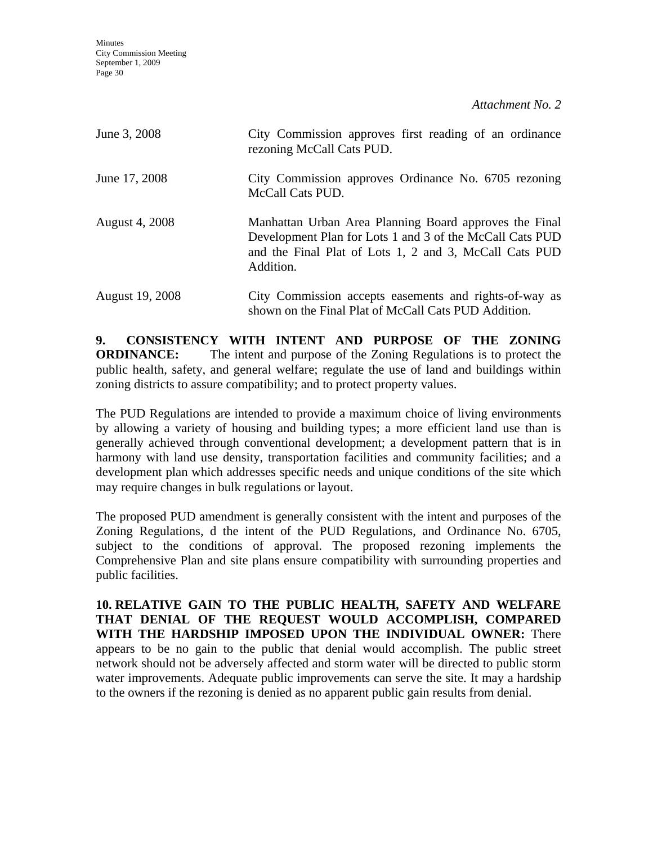**Minutes** City Commission Meeting September 1, 2009 Page 30

*Attachment No. 2*

| June 3, 2008           | City Commission approves first reading of an ordinance<br>rezoning McCall Cats PUD.                                                                                                       |
|------------------------|-------------------------------------------------------------------------------------------------------------------------------------------------------------------------------------------|
| June 17, 2008          | City Commission approves Ordinance No. 6705 rezoning<br>McCall Cats PUD.                                                                                                                  |
| <b>August 4, 2008</b>  | Manhattan Urban Area Planning Board approves the Final<br>Development Plan for Lots 1 and 3 of the McCall Cats PUD<br>and the Final Plat of Lots 1, 2 and 3, McCall Cats PUD<br>Addition. |
| <b>August 19, 2008</b> | City Commission accepts easements and rights-of-way as<br>shown on the Final Plat of McCall Cats PUD Addition.                                                                            |

**9. CONSISTENCY WITH INTENT AND PURPOSE OF THE ZONING ORDINANCE:** The intent and purpose of the Zoning Regulations is to protect the public health, safety, and general welfare; regulate the use of land and buildings within zoning districts to assure compatibility; and to protect property values.

The PUD Regulations are intended to provide a maximum choice of living environments by allowing a variety of housing and building types; a more efficient land use than is generally achieved through conventional development; a development pattern that is in harmony with land use density, transportation facilities and community facilities; and a development plan which addresses specific needs and unique conditions of the site which may require changes in bulk regulations or layout.

The proposed PUD amendment is generally consistent with the intent and purposes of the Zoning Regulations, d the intent of the PUD Regulations, and Ordinance No. 6705, subject to the conditions of approval. The proposed rezoning implements the Comprehensive Plan and site plans ensure compatibility with surrounding properties and public facilities.

**10. RELATIVE GAIN TO THE PUBLIC HEALTH, SAFETY AND WELFARE THAT DENIAL OF THE REQUEST WOULD ACCOMPLISH, COMPARED WITH THE HARDSHIP IMPOSED UPON THE INDIVIDUAL OWNER:** There appears to be no gain to the public that denial would accomplish. The public street network should not be adversely affected and storm water will be directed to public storm water improvements. Adequate public improvements can serve the site. It may a hardship to the owners if the rezoning is denied as no apparent public gain results from denial.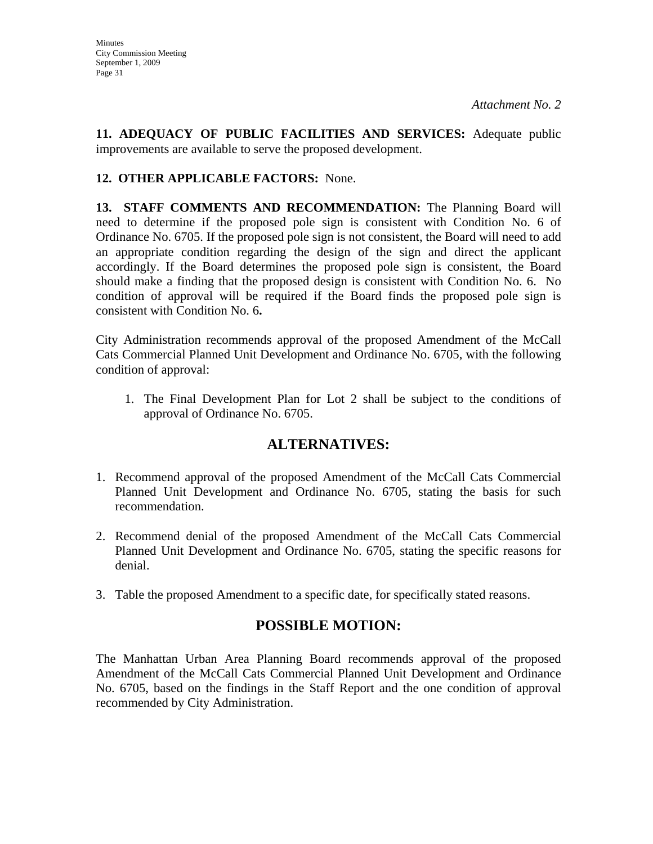**11. ADEQUACY OF PUBLIC FACILITIES AND SERVICES:** Adequate public improvements are available to serve the proposed development.

## **12. OTHER APPLICABLE FACTORS:** None.

13. STAFF COMMENTS AND RECOMMENDATION: The Planning Board will need to determine if the proposed pole sign is consistent with Condition No. 6 of Ordinance No. 6705. If the proposed pole sign is not consistent, the Board will need to add an appropriate condition regarding the design of the sign and direct the applicant accordingly. If the Board determines the proposed pole sign is consistent, the Board should make a finding that the proposed design is consistent with Condition No. 6. No condition of approval will be required if the Board finds the proposed pole sign is consistent with Condition No. 6**.** 

City Administration recommends approval of the proposed Amendment of the McCall Cats Commercial Planned Unit Development and Ordinance No. 6705, with the following condition of approval:

1. The Final Development Plan for Lot 2 shall be subject to the conditions of approval of Ordinance No. 6705.

# **ALTERNATIVES:**

- 1. Recommend approval of the proposed Amendment of the McCall Cats Commercial Planned Unit Development and Ordinance No. 6705, stating the basis for such recommendation.
- 2. Recommend denial of the proposed Amendment of the McCall Cats Commercial Planned Unit Development and Ordinance No. 6705, stating the specific reasons for denial.
- 3. Table the proposed Amendment to a specific date, for specifically stated reasons.

# **POSSIBLE MOTION:**

The Manhattan Urban Area Planning Board recommends approval of the proposed Amendment of the McCall Cats Commercial Planned Unit Development and Ordinance No. 6705, based on the findings in the Staff Report and the one condition of approval recommended by City Administration.